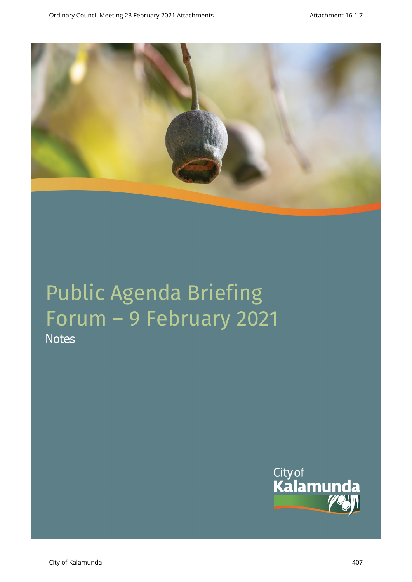

**Notes** 

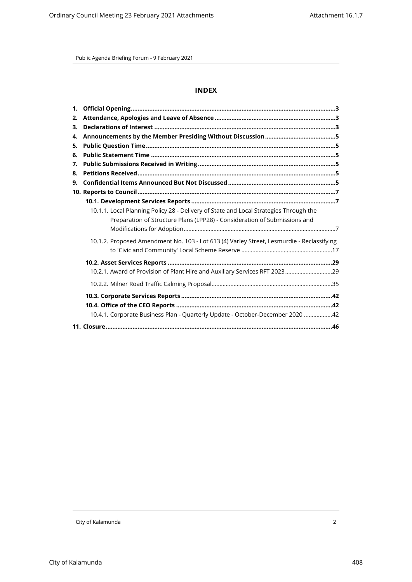# **INDEX**

| 2. |                                                                                                                                                                    |  |
|----|--------------------------------------------------------------------------------------------------------------------------------------------------------------------|--|
| 3. |                                                                                                                                                                    |  |
| 4. |                                                                                                                                                                    |  |
| 5. |                                                                                                                                                                    |  |
| 6. |                                                                                                                                                                    |  |
| 7. |                                                                                                                                                                    |  |
| 8. |                                                                                                                                                                    |  |
| 9. |                                                                                                                                                                    |  |
|    |                                                                                                                                                                    |  |
|    |                                                                                                                                                                    |  |
|    | 10.1.1. Local Planning Policy 28 - Delivery of State and Local Strategies Through the<br>Preparation of Structure Plans (LPP28) - Consideration of Submissions and |  |
|    | 10.1.2. Proposed Amendment No. 103 - Lot 613 (4) Varley Street, Lesmurdie - Reclassifying                                                                          |  |
|    |                                                                                                                                                                    |  |
|    |                                                                                                                                                                    |  |
|    |                                                                                                                                                                    |  |
|    |                                                                                                                                                                    |  |
|    |                                                                                                                                                                    |  |
|    | 10.4.1. Corporate Business Plan - Quarterly Update - October-December 2020 42                                                                                      |  |
|    |                                                                                                                                                                    |  |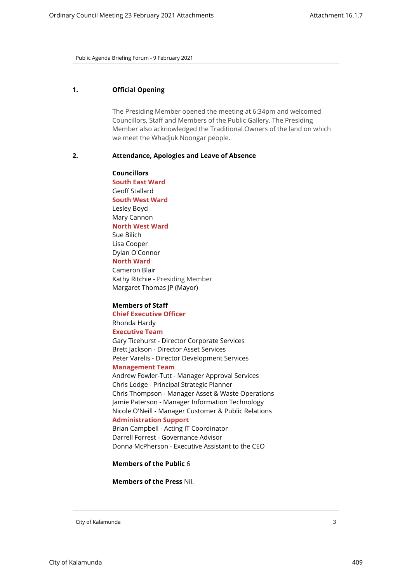## <span id="page-2-0"></span>**1. Official Opening**

The Presiding Member opened the meeting at 6:34pm and welcomed Councillors, Staff and Members of the Public Gallery. The Presiding Member also acknowledged the Traditional Owners of the land on which we meet the Whadjuk Noongar people.

#### <span id="page-2-1"></span>**2. Attendance, Apologies and Leave of Absence**

**Councillors South East Ward**  Geoff Stallard **South West Ward** Lesley Boyd Mary Cannon **North West Ward** Sue Bilich Lisa Cooper Dylan O'Connor **North Ward** Cameron Blair Kathy Ritchie - Presiding Member

Margaret Thomas JP (Mayor)

#### **Members of Staff**

**Chief Executive Officer** Rhonda Hardy

# **Executive Team**

Gary Ticehurst - Director Corporate Services Brett Jackson - Director Asset Services Peter Varelis - Director Development Services

## **Management Team**

Andrew Fowler-Tutt - Manager Approval Services Chris Lodge - Principal Strategic Planner Chris Thompson - Manager Asset & Waste Operations Jamie Paterson - Manager Information Technology Nicole O'Neill - Manager Customer & Public Relations **Administration Support**

Brian Campbell - Acting IT Coordinator Darrell Forrest - Governance Advisor Donna McPherson - Executive Assistant to the CEO

**Members of the Public** 6

**Members of the Press** Nil.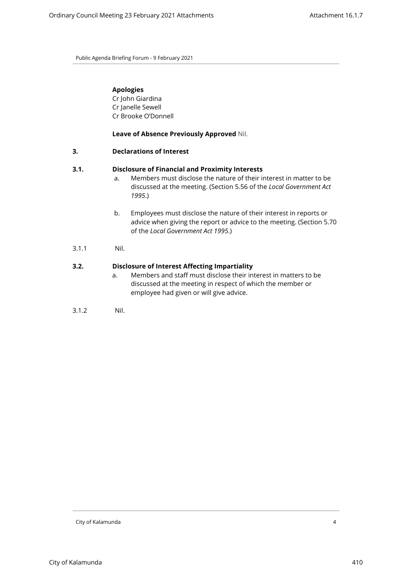## **Apologies**

Cr John Giardina Cr Janelle Sewell Cr Brooke O'Donnell

**Leave of Absence Previously Approved** Nil.

#### <span id="page-3-0"></span>**3. Declarations of Interest**

#### **3.1. Disclosure of Financial and Proximity Interests**

- a. Members must disclose the nature of their interest in matter to be discussed at the meeting. (Section 5.56 of the *Local Government Act 1995*.)
- b. Employees must disclose the nature of their interest in reports or advice when giving the report or advice to the meeting. (Section 5.70 of the *Local Government Act 1995*.)
- 3.1.1 Nil.

## **3.2. Disclosure of Interest Affecting Impartiality**

- a. Members and staff must disclose their interest in matters to be discussed at the meeting in respect of which the member or employee had given or will give advice.
- 3.1.2 Nil.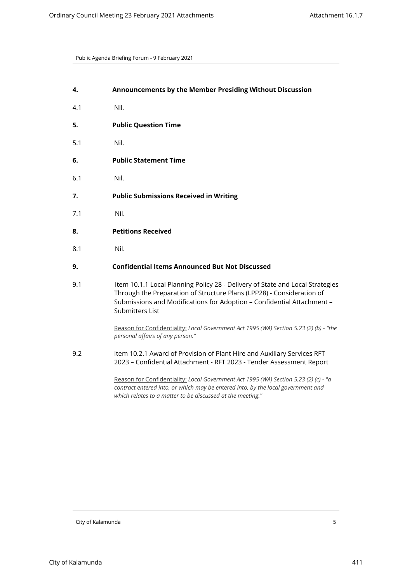<span id="page-4-4"></span><span id="page-4-3"></span><span id="page-4-2"></span><span id="page-4-1"></span><span id="page-4-0"></span>

| 4.  | Announcements by the Member Presiding Without Discussion                                                                                                                                                                                                   |
|-----|------------------------------------------------------------------------------------------------------------------------------------------------------------------------------------------------------------------------------------------------------------|
| 4.1 | Nil.                                                                                                                                                                                                                                                       |
| 5.  | <b>Public Question Time</b>                                                                                                                                                                                                                                |
| 5.1 | Nil.                                                                                                                                                                                                                                                       |
| 6.  | <b>Public Statement Time</b>                                                                                                                                                                                                                               |
| 6.1 | Nil.                                                                                                                                                                                                                                                       |
| 7.  | <b>Public Submissions Received in Writing</b>                                                                                                                                                                                                              |
| 7.1 | Nil.                                                                                                                                                                                                                                                       |
| 8.  | <b>Petitions Received</b>                                                                                                                                                                                                                                  |
| 8.1 | Nil.                                                                                                                                                                                                                                                       |
| 9.  | <b>Confidential Items Announced But Not Discussed</b>                                                                                                                                                                                                      |
| 9.1 | Item 10.1.1 Local Planning Policy 28 - Delivery of State and Local Strategies<br>Through the Preparation of Structure Plans (LPP28) - Consideration of<br>Submissions and Modifications for Adoption - Confidential Attachment -<br><b>Submitters List</b> |
|     | Reason for Confidentiality: Local Government Act 1995 (WA) Section 5.23 (2) (b) - "the<br>personal affairs of any person."                                                                                                                                 |
| 9.2 | Item 10.2.1 Award of Provision of Plant Hire and Auxiliary Services RFT<br>2023 - Confidential Attachment - RFT 2023 - Tender Assessment Report                                                                                                            |
|     |                                                                                                                                                                                                                                                            |

<span id="page-4-5"></span>Reason for Confidentiality: *Local Government Act 1995 (WA) Section 5.23 (2) (c) - "a contract entered into, or which may be entered into, by the local government and which relates to a matter to be discussed at the meeting."*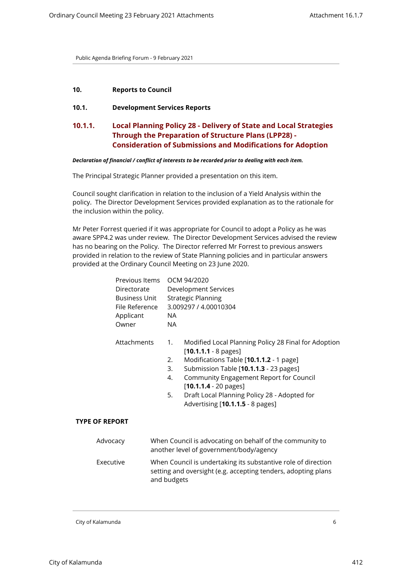## <span id="page-5-2"></span><span id="page-5-1"></span><span id="page-5-0"></span>**10. Reports to Council**

## **10.1. Development Services Reports**

# **10.1.1. Local Planning Policy 28 - Delivery of State and Local Strategies Through the Preparation of Structure Plans (LPP28) - Consideration of Submissions and Modifications for Adoption**

#### *Declaration of financial / conflict of interests to be recorded prior to dealing with each item.*

The Principal Strategic Planner provided a presentation on this item.

Council sought clarification in relation to the inclusion of a Yield Analysis within the policy. The Director Development Services provided explanation as to the rationale for the inclusion within the policy.

Mr Peter Forrest queried if it was appropriate for Council to adopt a Policy as he was aware SPP4.2 was under review. The Director Development Services advised the review has no bearing on the Policy. The Director referred Mr Forrest to previous answers provided in relation to the review of State Planning policies and in particular answers provided at the Ordinary Council Meeting on 23 June 2020.

|                       | Previous Items<br>Directorate<br>Business Unit<br>File Reference<br>Applicant<br>Owner              | OCM 94/2020<br>Development Services<br><b>Strategic Planning</b><br>3.009297 / 4.00010304<br>NA.<br><b>NA</b>                                                                                                                                                                                                                                                               |
|-----------------------|-----------------------------------------------------------------------------------------------------|-----------------------------------------------------------------------------------------------------------------------------------------------------------------------------------------------------------------------------------------------------------------------------------------------------------------------------------------------------------------------------|
|                       | Attachments                                                                                         | Modified Local Planning Policy 28 Final for Adoption<br>1.<br>$[10.1.1.1 - 8 \text{ pages}]$<br>Modifications Table [10.1.1.2 - 1 page]<br>2.<br>3.<br>Submission Table [10.1.1.3 - 23 pages]<br>Community Engagement Report for Council<br>4.<br>$[10.1.1.4 - 20 \text{ pages}]$<br>Draft Local Planning Policy 28 - Adopted for<br>5.<br>Advertising [10.1.1.5 - 8 pages] |
| <b>TYPE OF REPORT</b> |                                                                                                     |                                                                                                                                                                                                                                                                                                                                                                             |
| Advocacy              | When Council is advocating on behalf of the community to<br>another level of government/body/agency |                                                                                                                                                                                                                                                                                                                                                                             |
| Executive             |                                                                                                     | When Council is undertaking its substantive role of direction<br>setting and oversight (e.g. accepting tenders, adopting plans<br>and budgets                                                                                                                                                                                                                               |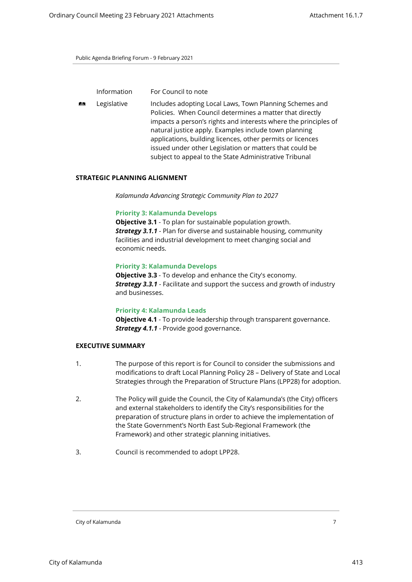| <b>Information</b> | For Council to note |
|--------------------|---------------------|
|                    |                     |

**ALCO** Legislative Includes adopting Local Laws, Town Planning Schemes and Policies. When Council determines a matter that directly impacts a person's rights and interests where the principles of natural justice apply. Examples include town planning applications, building licences, other permits or licences issued under other Legislation or matters that could be subject to appeal to the State Administrative Tribunal

#### **STRATEGIC PLANNING ALIGNMENT**

*Kalamunda Advancing Strategic Community Plan to 2027*

#### **Priority 3: Kalamunda Develops**

**Objective 3.1** - To plan for sustainable population growth. *Strategy 3.1.1* - Plan for diverse and sustainable housing, community facilities and industrial development to meet changing social and economic needs.

#### **Priority 3: Kalamunda Develops**

**Objective 3.3** - To develop and enhance the City's economy. *Strategy 3.3.1* - Facilitate and support the success and growth of industry and businesses.

#### **Priority 4: Kalamunda Leads**

**Objective 4.1** - To provide leadership through transparent governance. *Strategy 4.1.1* - Provide good governance.

## **EXECUTIVE SUMMARY**

- 1. The purpose of this report is for Council to consider the submissions and modifications to draft Local Planning Policy 28 – Delivery of State and Local Strategies through the Preparation of Structure Plans (LPP28) for adoption.
- 2. The Policy will guide the Council, the City of Kalamunda's (the City) officers and external stakeholders to identify the City's responsibilities for the preparation of structure plans in order to achieve the implementation of the State Government's North East Sub-Regional Framework (the Framework) and other strategic planning initiatives.
- 3. Council is recommended to adopt LPP28.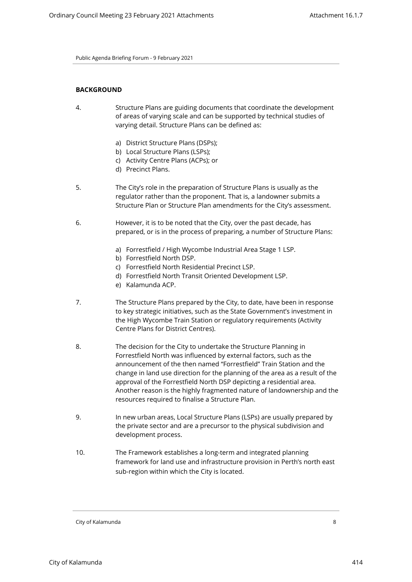## **BACKGROUND**

- 4. Structure Plans are guiding documents that coordinate the development of areas of varying scale and can be supported by technical studies of varying detail. Structure Plans can be defined as:
	- a) District Structure Plans (DSPs);
	- b) Local Structure Plans (LSPs);
	- c) Activity Centre Plans (ACPs); or
	- d) Precinct Plans.
- 5. The City's role in the preparation of Structure Plans is usually as the regulator rather than the proponent. That is, a landowner submits a Structure Plan or Structure Plan amendments for the City's assessment.
- 6. However, it is to be noted that the City, over the past decade, has prepared, or is in the process of preparing, a number of Structure Plans:
	- a) Forrestfield / High Wycombe Industrial Area Stage 1 LSP.
	- b) Forrestfield North DSP.
	- c) Forrestfield North Residential Precinct LSP.
	- d) Forrestfield North Transit Oriented Development LSP.
	- e) Kalamunda ACP.
- 7. The Structure Plans prepared by the City, to date, have been in response to key strategic initiatives, such as the State Government's investment in the High Wycombe Train Station or regulatory requirements (Activity Centre Plans for District Centres).
- 8. The decision for the City to undertake the Structure Planning in Forrestfield North was influenced by external factors, such as the announcement of the then named "Forrestfield" Train Station and the change in land use direction for the planning of the area as a result of the approval of the Forrestfield North DSP depicting a residential area. Another reason is the highly fragmented nature of landownership and the resources required to finalise a Structure Plan.
- 9. In new urban areas, Local Structure Plans (LSPs) are usually prepared by the private sector and are a precursor to the physical subdivision and development process.
- 10. The Framework establishes a long-term and integrated planning framework for land use and infrastructure provision in Perth's north east sub-region within which the City is located.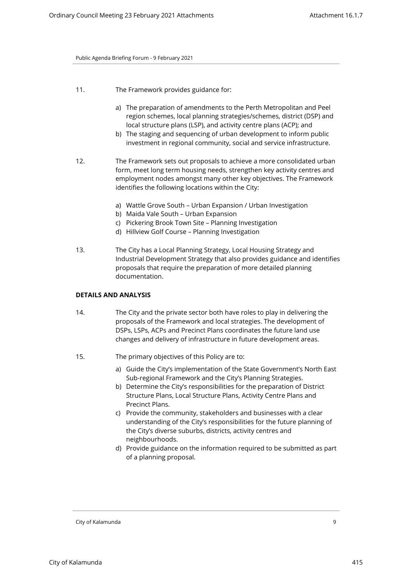- 11. The Framework provides guidance for:
	- a) The preparation of amendments to the Perth Metropolitan and Peel region schemes, local planning strategies/schemes, district (DSP) and local structure plans (LSP), and activity centre plans (ACP); and
	- b) The staging and sequencing of urban development to inform public investment in regional community, social and service infrastructure.
- 12. The Framework sets out proposals to achieve a more consolidated urban form, meet long term housing needs, strengthen key activity centres and employment nodes amongst many other key objectives. The Framework identifies the following locations within the City:
	- a) Wattle Grove South Urban Expansion / Urban Investigation
	- b) Maida Vale South Urban Expansion
	- c) Pickering Brook Town Site Planning Investigation
	- d) Hillview Golf Course Planning Investigation
- 13. The City has a Local Planning Strategy, Local Housing Strategy and Industrial Development Strategy that also provides guidance and identifies proposals that require the preparation of more detailed planning documentation.

#### **DETAILS AND ANALYSIS**

- 14. The City and the private sector both have roles to play in delivering the proposals of the Framework and local strategies. The development of DSPs, LSPs, ACPs and Precinct Plans coordinates the future land use changes and delivery of infrastructure in future development areas.
- 15. The primary objectives of this Policy are to:
	- a) Guide the City's implementation of the State Government's North East Sub-regional Framework and the City's Planning Strategies.
	- b) Determine the City's responsibilities for the preparation of District Structure Plans, Local Structure Plans, Activity Centre Plans and Precinct Plans.
	- c) Provide the community, stakeholders and businesses with a clear understanding of the City's responsibilities for the future planning of the City's diverse suburbs, districts, activity centres and neighbourhoods.
	- d) Provide guidance on the information required to be submitted as part of a planning proposal.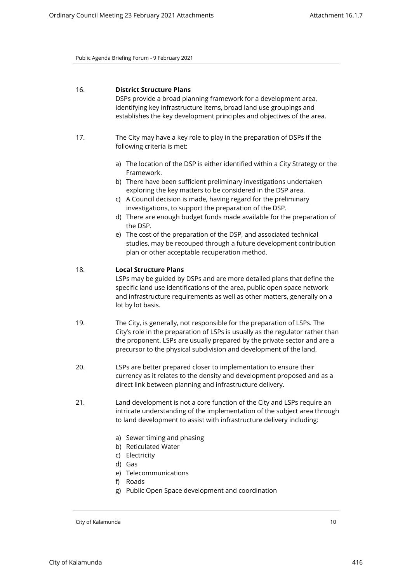## 16. **District Structure Plans**

DSPs provide a broad planning framework for a development area, identifying key infrastructure items, broad land use groupings and establishes the key development principles and objectives of the area.

- 17. The City may have a key role to play in the preparation of DSPs if the following criteria is met:
	- a) The location of the DSP is either identified within a City Strategy or the Framework.
	- b) There have been sufficient preliminary investigations undertaken exploring the key matters to be considered in the DSP area.
	- c) A Council decision is made, having regard for the preliminary investigations, to support the preparation of the DSP.
	- d) There are enough budget funds made available for the preparation of the DSP.
	- e) The cost of the preparation of the DSP, and associated technical studies, may be recouped through a future development contribution plan or other acceptable recuperation method.

## 18. **Local Structure Plans**

LSPs may be guided by DSPs and are more detailed plans that define the specific land use identifications of the area, public open space network and infrastructure requirements as well as other matters, generally on a lot by lot basis.

- 19. The City, is generally, not responsible for the preparation of LSPs. The City's role in the preparation of LSPs is usually as the regulator rather than the proponent. LSPs are usually prepared by the private sector and are a precursor to the physical subdivision and development of the land.
- 20. LSPs are better prepared closer to implementation to ensure their currency as it relates to the density and development proposed and as a direct link between planning and infrastructure delivery.
- 21. Land development is not a core function of the City and LSPs require an intricate understanding of the implementation of the subject area through to land development to assist with infrastructure delivery including:
	- a) Sewer timing and phasing
	- b) Reticulated Water
	- c) Electricity
	- d) Gas
	- e) Telecommunications
	- f) Roads
	- g) Public Open Space development and coordination

City of Kalamunda 10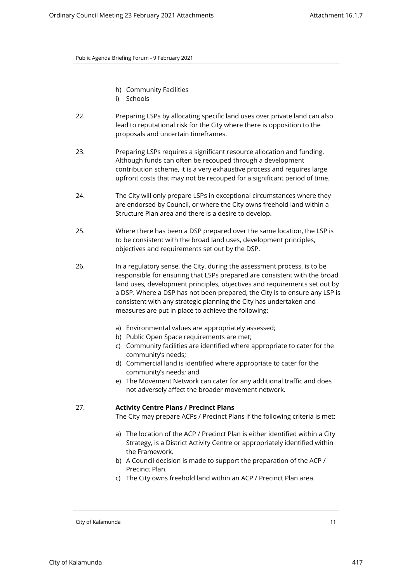- h) Community Facilities
- i) Schools
- 22. Preparing LSPs by allocating specific land uses over private land can also lead to reputational risk for the City where there is opposition to the proposals and uncertain timeframes.
- 23. Preparing LSPs requires a significant resource allocation and funding. Although funds can often be recouped through a development contribution scheme, it is a very exhaustive process and requires large upfront costs that may not be recouped for a significant period of time.
- 24. The City will only prepare LSPs in exceptional circumstances where they are endorsed by Council, or where the City owns freehold land within a Structure Plan area and there is a desire to develop.
- 25. Where there has been a DSP prepared over the same location, the LSP is to be consistent with the broad land uses, development principles, objectives and requirements set out by the DSP.
- 26. In a regulatory sense, the City, during the assessment process, is to be responsible for ensuring that LSPs prepared are consistent with the broad land uses, development principles, objectives and requirements set out by a DSP. Where a DSP has not been prepared, the City is to ensure any LSP is consistent with any strategic planning the City has undertaken and measures are put in place to achieve the following:
	- a) Environmental values are appropriately assessed;
	- b) Public Open Space requirements are met;
	- c) Community facilities are identified where appropriate to cater for the community's needs;
	- d) Commercial land is identified where appropriate to cater for the community's needs; and
	- e) The Movement Network can cater for any additional traffic and does not adversely affect the broader movement network.

## 27. **Activity Centre Plans / Precinct Plans**

The City may prepare ACPs / Precinct Plans if the following criteria is met:

- a) The location of the ACP / Precinct Plan is either identified within a City Strategy, is a District Activity Centre or appropriately identified within the Framework.
- b) A Council decision is made to support the preparation of the ACP / Precinct Plan.
- c) The City owns freehold land within an ACP / Precinct Plan area.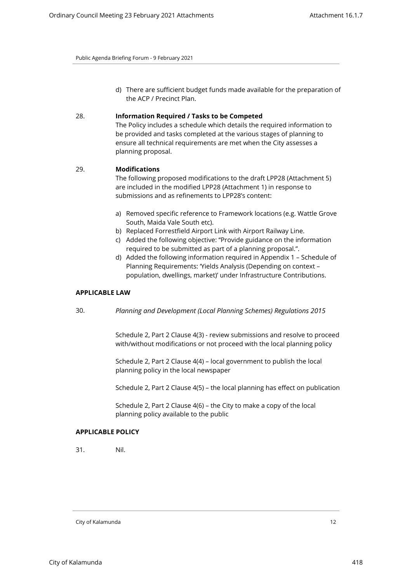d) There are sufficient budget funds made available for the preparation of the ACP / Precinct Plan.

#### 28. **Information Required / Tasks to be Competed**

The Policy includes a schedule which details the required information to be provided and tasks completed at the various stages of planning to ensure all technical requirements are met when the City assesses a planning proposal.

#### 29. **Modifications**

The following proposed modifications to the draft LPP28 (Attachment 5) are included in the modified LPP28 (Attachment 1) in response to submissions and as refinements to LPP28's content:

- a) Removed specific reference to Framework locations (e.g. Wattle Grove South, Maida Vale South etc).
- b) Replaced Forrestfield Airport Link with Airport Railway Line.
- c) Added the following objective: ''Provide guidance on the information required to be submitted as part of a planning proposal.".
- d) Added the following information required in Appendix 1 Schedule of Planning Requirements: 'Yields Analysis (Depending on context – population, dwellings, market)' under Infrastructure Contributions.

#### **APPLICABLE LAW**

30. *Planning and Development (Local Planning Schemes) Regulations 2015*

Schedule 2, Part 2 Clause 4(3) - review submissions and resolve to proceed with/without modifications or not proceed with the local planning policy

Schedule 2, Part 2 Clause 4(4) – local government to publish the local planning policy in the local newspaper

Schedule 2, Part 2 Clause 4(5) – the local planning has effect on publication

Schedule 2, Part 2 Clause 4(6) – the City to make a copy of the local planning policy available to the public

## **APPLICABLE POLICY**

31. Nil.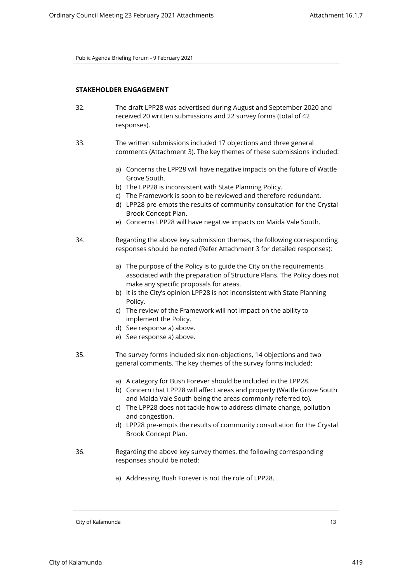#### **STAKEHOLDER ENGAGEMENT**

- 32. The draft LPP28 was advertised during August and September 2020 and received 20 written submissions and 22 survey forms (total of 42 responses).
- 33. The written submissions included 17 objections and three general comments (Attachment 3). The key themes of these submissions included:
	- a) Concerns the LPP28 will have negative impacts on the future of Wattle Grove South.
	- b) The LPP28 is inconsistent with State Planning Policy.
	- c) The Framework is soon to be reviewed and therefore redundant.
	- d) LPP28 pre-empts the results of community consultation for the Crystal Brook Concept Plan.
	- e) Concerns LPP28 will have negative impacts on Maida Vale South.
- 34. Regarding the above key submission themes, the following corresponding responses should be noted (Refer Attachment 3 for detailed responses):
	- a) The purpose of the Policy is to guide the City on the requirements associated with the preparation of Structure Plans. The Policy does not make any specific proposals for areas.
	- b) It is the City's opinion LPP28 is not inconsistent with State Planning Policy.
	- c) The review of the Framework will not impact on the ability to implement the Policy.
	- d) See response a) above.
	- e) See response a) above.
- 35. The survey forms included six non-objections, 14 objections and two general comments. The key themes of the survey forms included:
	- a) A category for Bush Forever should be included in the LPP28.
	- b) Concern that LPP28 will affect areas and property (Wattle Grove South and Maida Vale South being the areas commonly referred to).
	- c) The LPP28 does not tackle how to address climate change, pollution and congestion.
	- d) LPP28 pre-empts the results of community consultation for the Crystal Brook Concept Plan.
- 36. Regarding the above key survey themes, the following corresponding responses should be noted:
	- a) Addressing Bush Forever is not the role of LPP28.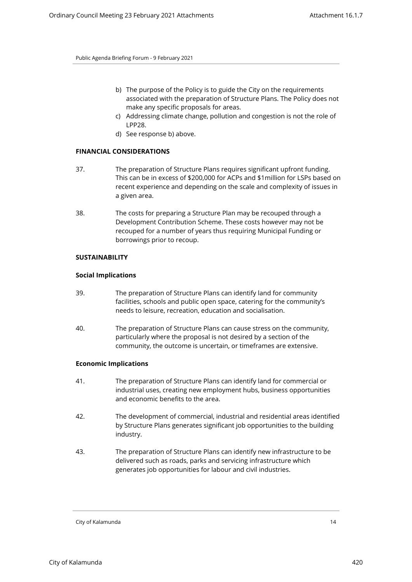- b) The purpose of the Policy is to guide the City on the requirements associated with the preparation of Structure Plans. The Policy does not make any specific proposals for areas.
- c) Addressing climate change, pollution and congestion is not the role of LPP28.
- d) See response b) above.

## **FINANCIAL CONSIDERATIONS**

- 37. The preparation of Structure Plans requires significant upfront funding. This can be in excess of \$200,000 for ACPs and \$1million for LSPs based on recent experience and depending on the scale and complexity of issues in a given area.
- 38. The costs for preparing a Structure Plan may be recouped through a Development Contribution Scheme. These costs however may not be recouped for a number of years thus requiring Municipal Funding or borrowings prior to recoup.

## **SUSTAINABILITY**

## **Social Implications**

- 39. The preparation of Structure Plans can identify land for community facilities, schools and public open space, catering for the community's needs to leisure, recreation, education and socialisation.
- 40. The preparation of Structure Plans can cause stress on the community, particularly where the proposal is not desired by a section of the community, the outcome is uncertain, or timeframes are extensive.

#### **Economic Implications**

- 41. The preparation of Structure Plans can identify land for commercial or industrial uses, creating new employment hubs, business opportunities and economic benefits to the area.
- 42. The development of commercial, industrial and residential areas identified by Structure Plans generates significant job opportunities to the building industry.
- 43. The preparation of Structure Plans can identify new infrastructure to be delivered such as roads, parks and servicing infrastructure which generates job opportunities for labour and civil industries.

City of Kalamunda 14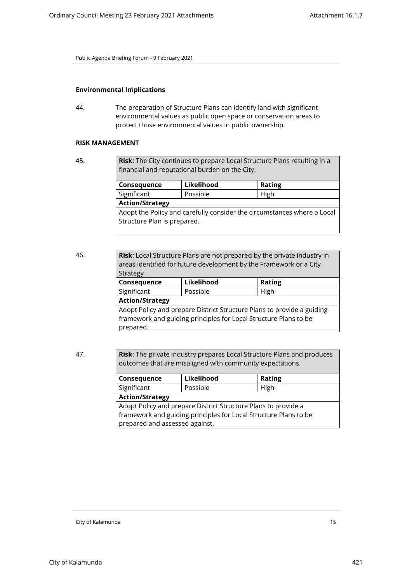## **Environmental Implications**

44. The preparation of Structure Plans can identify land with significant environmental values as public open space or conservation areas to protect those environmental values in public ownership.

#### **RISK MANAGEMENT**

45. **Risk:** The City continues to prepare Local Structure Plans resulting in a financial and reputational burden on the City.

| Consequence                                                             | Likelihood | <b>Rating</b> |  |  |
|-------------------------------------------------------------------------|------------|---------------|--|--|
| Significant                                                             | Possible   | High          |  |  |
| <b>Action/Strategy</b>                                                  |            |               |  |  |
| Adopt the Policy and carefully consider the circumstances where a Local |            |               |  |  |
| Structure Plan is prepared.                                             |            |               |  |  |
|                                                                         |            |               |  |  |

| 46. | Risk: Local Structure Plans are not prepared by the private industry in<br>areas identified for future development by the Framework or a City |            |               |  |  |
|-----|-----------------------------------------------------------------------------------------------------------------------------------------------|------------|---------------|--|--|
|     | Strategy<br>Consequence                                                                                                                       | Likelihood | <b>Rating</b> |  |  |
|     | Significant                                                                                                                                   | Possible   | High          |  |  |
|     | <b>Action/Strategy</b>                                                                                                                        |            |               |  |  |
|     | Adopt Policy and prepare District Structure Plans to provide a guiding                                                                        |            |               |  |  |
|     | framework and guiding principles for Local Structure Plans to be                                                                              |            |               |  |  |
|     | prepared.                                                                                                                                     |            |               |  |  |

47. **Risk**: The private industry prepares Local Structure Plans and produces outcomes that are misaligned with community expectations.

| Consequence                                                      | Likelihood | <b>Rating</b> |  |  |
|------------------------------------------------------------------|------------|---------------|--|--|
| Significant                                                      | Possible   | High          |  |  |
| <b>Action/Strategy</b>                                           |            |               |  |  |
| Adopt Policy and prepare District Structure Plans to provide a   |            |               |  |  |
| framework and guiding principles for Local Structure Plans to be |            |               |  |  |
| prepared and assessed against.                                   |            |               |  |  |
|                                                                  |            |               |  |  |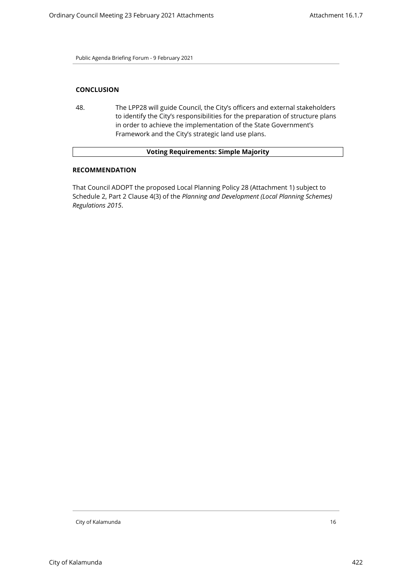## **CONCLUSION**

48. The LPP28 will guide Council, the City's officers and external stakeholders to identify the City's responsibilities for the preparation of structure plans in order to achieve the implementation of the State Government's Framework and the City's strategic land use plans.

## **Voting Requirements: Simple Majority**

## **RECOMMENDATION**

That Council ADOPT the proposed Local Planning Policy 28 (Attachment 1) subject to Schedule 2, Part 2 Clause 4(3) of the *Planning and Development (Local Planning Schemes) Regulations 2015*.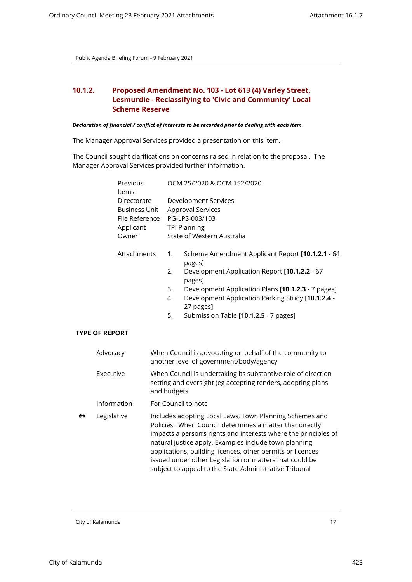# <span id="page-16-0"></span>**10.1.2. Proposed Amendment No. 103 - Lot 613 (4) Varley Street, Lesmurdie - Reclassifying to 'Civic and Community' Local Scheme Reserve**

#### *Declaration of financial / conflict of interests to be recorded prior to dealing with each item.*

The Manager Approval Services provided a presentation on this item.

The Council sought clarifications on concerns raised in relation to the proposal. The Manager Approval Services provided further information.

|   | Previous<br>Items     |                                                                                                                                                                                                                                                                                                                                                                                                                                    | OCM 25/2020 & OCM 152/2020                                                                                                                  |  |  |
|---|-----------------------|------------------------------------------------------------------------------------------------------------------------------------------------------------------------------------------------------------------------------------------------------------------------------------------------------------------------------------------------------------------------------------------------------------------------------------|---------------------------------------------------------------------------------------------------------------------------------------------|--|--|
|   | Directorate           |                                                                                                                                                                                                                                                                                                                                                                                                                                    | <b>Development Services</b>                                                                                                                 |  |  |
|   | <b>Business Unit</b>  |                                                                                                                                                                                                                                                                                                                                                                                                                                    | Approval Services                                                                                                                           |  |  |
|   | File Reference        |                                                                                                                                                                                                                                                                                                                                                                                                                                    | PG-LPS-003/103                                                                                                                              |  |  |
|   | Applicant             |                                                                                                                                                                                                                                                                                                                                                                                                                                    | <b>TPI Planning</b>                                                                                                                         |  |  |
|   | Owner                 |                                                                                                                                                                                                                                                                                                                                                                                                                                    | State of Western Australia                                                                                                                  |  |  |
|   | Attachments           |                                                                                                                                                                                                                                                                                                                                                                                                                                    | Scheme Amendment Applicant Report [10.1.2.1 - 64<br>1.<br>pages]                                                                            |  |  |
|   |                       |                                                                                                                                                                                                                                                                                                                                                                                                                                    | 2.<br>Development Application Report [10.1.2.2 - 67<br>pages]                                                                               |  |  |
|   |                       |                                                                                                                                                                                                                                                                                                                                                                                                                                    | Development Application Plans [10.1.2.3 - 7 pages]<br>3.                                                                                    |  |  |
|   |                       |                                                                                                                                                                                                                                                                                                                                                                                                                                    | Development Application Parking Study [10.1.2.4 -<br>4.<br>27 pages]                                                                        |  |  |
|   |                       |                                                                                                                                                                                                                                                                                                                                                                                                                                    | 5.<br>Submission Table [10.1.2.5 - 7 pages]                                                                                                 |  |  |
|   | <b>TYPE OF REPORT</b> |                                                                                                                                                                                                                                                                                                                                                                                                                                    |                                                                                                                                             |  |  |
|   | Advocacy              |                                                                                                                                                                                                                                                                                                                                                                                                                                    | When Council is advocating on behalf of the community to<br>another level of government/body/agency                                         |  |  |
|   | Executive             |                                                                                                                                                                                                                                                                                                                                                                                                                                    | When Council is undertaking its substantive role of direction<br>setting and oversight (eg accepting tenders, adopting plans<br>and budgets |  |  |
|   | Information           |                                                                                                                                                                                                                                                                                                                                                                                                                                    | For Council to note                                                                                                                         |  |  |
| 合 | Legislative           | Includes adopting Local Laws, Town Planning Schemes and<br>Policies. When Council determines a matter that directly<br>impacts a person's rights and interests where the principles of<br>natural justice apply. Examples include town planning<br>applications, building licences, other permits or licences<br>issued under other Legislation or matters that could be<br>subject to appeal to the State Administrative Tribunal |                                                                                                                                             |  |  |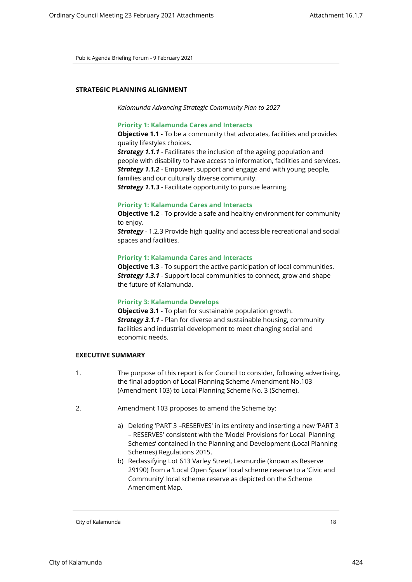#### **STRATEGIC PLANNING ALIGNMENT**

*Kalamunda Advancing Strategic Community Plan to 2027*

#### **Priority 1: Kalamunda Cares and Interacts**

**Objective 1.1** - To be a community that advocates, facilities and provides quality lifestyles choices.

**Strategy 1.1.1** - Facilitates the inclusion of the ageing population and people with disability to have access to information, facilities and services. *Strategy 1.1.2* - Empower, support and engage and with young people, families and our culturally diverse community. *Strategy 1.1.3* - Facilitate opportunity to pursue learning.

#### **Priority 1: Kalamunda Cares and Interacts**

**Objective 1.2** - To provide a safe and healthy environment for community to enjoy.

**Strategy** - 1.2.3 Provide high quality and accessible recreational and social spaces and facilities.

#### **Priority 1: Kalamunda Cares and Interacts**

**Objective 1.3** - To support the active participation of local communities. *Strategy 1.3.1* - Support local communities to connect, grow and shape the future of Kalamunda.

#### **Priority 3: Kalamunda Develops**

**Objective 3.1** - To plan for sustainable population growth. *Strategy 3.1.1* - Plan for diverse and sustainable housing, community facilities and industrial development to meet changing social and economic needs.

#### **EXECUTIVE SUMMARY**

- 1. The purpose of this report is for Council to consider, following advertising, the final adoption of Local Planning Scheme Amendment No.103 (Amendment 103) to Local Planning Scheme No. 3 (Scheme).
- 2. Amendment 103 proposes to amend the Scheme by:
	- a) Deleting 'PART 3 –RESERVES' in its entirety and inserting a new 'PART 3 – RESERVES' consistent with the 'Model Provisions for Local Planning Schemes' contained in the Planning and Development (Local Planning Schemes) Regulations 2015.
	- b) Reclassifying Lot 613 Varley Street, Lesmurdie (known as Reserve 29190) from a 'Local Open Space' local scheme reserve to a 'Civic and Community' local scheme reserve as depicted on the Scheme Amendment Map.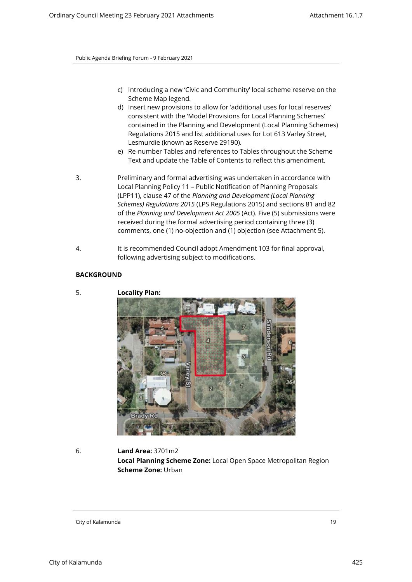- c) Introducing a new 'Civic and Community' local scheme reserve on the Scheme Map legend.
- d) Insert new provisions to allow for 'additional uses for local reserves' consistent with the 'Model Provisions for Local Planning Schemes' contained in the Planning and Development (Local Planning Schemes) Regulations 2015 and list additional uses for Lot 613 Varley Street, Lesmurdie (known as Reserve 29190).
- e) Re-number Tables and references to Tables throughout the Scheme Text and update the Table of Contents to reflect this amendment.
- 3. Preliminary and formal advertising was undertaken in accordance with Local Planning Policy 11 – Public Notification of Planning Proposals (LPP11), clause 47 of the *Planning and Development (Local Planning Schemes) Regulations 2015* (LPS Regulations 2015) and sections 81 and 82 of the *Planning and Development Act 2005* (Act). Five (5) submissions were received during the formal advertising period containing three (3) comments, one (1) no-objection and (1) objection (see Attachment 5).
- 4. It is recommended Council adopt Amendment 103 for final approval, following advertising subject to modifications.

## **BACKGROUND**

5. **Locality Plan:** 

- 
- 6. **Land Area:** 3701m2 **Local Planning Scheme Zone:** Local Open Space Metropolitan Region **Scheme Zone:** Urban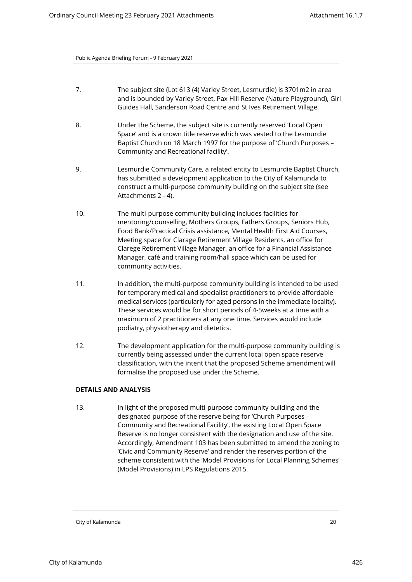- 7. The subject site (Lot 613 (4) Varley Street, Lesmurdie) is 3701m2 in area and is bounded by Varley Street, Pax Hill Reserve (Nature Playground), Girl Guides Hall, Sanderson Road Centre and St Ives Retirement Village.
- 8. Under the Scheme, the subject site is currently reserved 'Local Open Space' and is a crown title reserve which was vested to the Lesmurdie Baptist Church on 18 March 1997 for the purpose of 'Church Purposes – Community and Recreational facility'.
- 9. Lesmurdie Community Care, a related entity to Lesmurdie Baptist Church, has submitted a development application to the City of Kalamunda to construct a multi-purpose community building on the subject site (see Attachments 2 - 4).
- 10. The multi-purpose community building includes facilities for mentoring/counselling, Mothers Groups, Fathers Groups, Seniors Hub, Food Bank/Practical Crisis assistance, Mental Health First Aid Courses, Meeting space for Clarage Retirement Village Residents, an office for Clarege Retirement Village Manager, an office for a Financial Assistance Manager, café and training room/hall space which can be used for community activities.
- 11. In addition, the multi-purpose community building is intended to be used for temporary medical and specialist practitioners to provide affordable medical services (particularly for aged persons in the immediate locality). These services would be for short periods of 4-5weeks at a time with a maximum of 2 practitioners at any one time. Services would include podiatry, physiotherapy and dietetics.
- 12. The development application for the multi-purpose community building is currently being assessed under the current local open space reserve classification, with the intent that the proposed Scheme amendment will formalise the proposed use under the Scheme.

## **DETAILS AND ANALYSIS**

13. In light of the proposed multi-purpose community building and the designated purpose of the reserve being for 'Church Purposes – Community and Recreational Facility', the existing Local Open Space Reserve is no longer consistent with the designation and use of the site. Accordingly, Amendment 103 has been submitted to amend the zoning to 'Civic and Community Reserve' and render the reserves portion of the scheme consistent with the 'Model Provisions for Local Planning Schemes' (Model Provisions) in LPS Regulations 2015.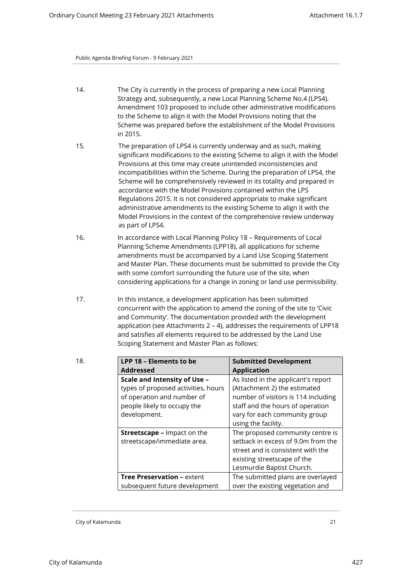- 14. The City is currently in the process of preparing a new Local Planning Strategy and, subsequently, a new Local Planning Scheme No.4 (LPS4). Amendment 103 proposed to include other administrative modifications to the Scheme to align it with the Model Provisions noting that the Scheme was prepared before the establishment of the Model Provisions in 2015.
- 15. The preparation of LPS4 is currently underway and as such, making significant modifications to the existing Scheme to align it with the Model Provisions at this time may create unintended inconsistencies and incompatibilities within the Scheme. During the preparation of LPS4, the Scheme will be comprehensively reviewed in its totality and prepared in accordance with the Model Provisions contained within the LPS Regulations 2015. It is not considered appropriate to make significant administrative amendments to the existing Scheme to align it with the Model Provisions in the context of the comprehensive review underway as part of LPS4.
- 16. In accordance with Local Planning Policy 18 Requirements of Local Planning Scheme Amendments (LPP18), all applications for scheme amendments must be accompanied by a Land Use Scoping Statement and Master Plan. These documents must be submitted to provide the City with some comfort surrounding the future use of the site, when considering applications for a change in zoning or land use permissibility.
- 17. In this instance, a development application has been submitted concurrent with the application to amend the zoning of the site to 'Civic and Community'. The documentation provided with the development application (see Attachments 2 – 4), addresses the requirements of LPP18 and satisfies all elements required to be addressed by the Land Use Scoping Statement and Master Plan as follows:

| 18. | LPP 18 - Elements to be<br><b>Addressed</b>                                                                                                      | <b>Submitted Development</b><br><b>Application</b>                                                                                                                                                     |
|-----|--------------------------------------------------------------------------------------------------------------------------------------------------|--------------------------------------------------------------------------------------------------------------------------------------------------------------------------------------------------------|
|     | Scale and Intensity of Use -<br>types of proposed activities, hours<br>of operation and number of<br>people likely to occupy the<br>development. | As listed in the applicant's report<br>(Attachment 2) the estimated<br>number of visitors is 114 including<br>staff and the hours of operation<br>vary for each community group<br>using the facility. |
|     | <b>Streetscape</b> – Impact on the<br>streetscape/immediate area.                                                                                | The proposed community centre is<br>setback in excess of 9.0m from the<br>street and is consistent with the<br>existing streetscape of the<br>Lesmurdie Baptist Church.                                |
|     | <b>Tree Preservation - extent</b><br>subsequent future development                                                                               | The submitted plans are overlayed<br>over the existing vegetation and                                                                                                                                  |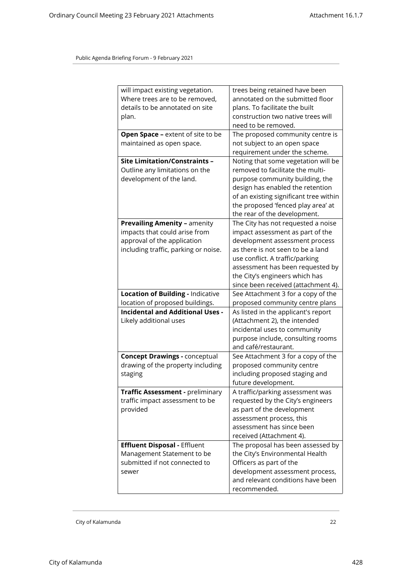| will impact existing vegetation.<br>Where trees are to be removed,<br>details to be annotated on site<br>plan.                              | trees being retained have been<br>annotated on the submitted floor<br>plans. To facilitate the built<br>construction two native trees will<br>need to be removed.                                                                                                                             |
|---------------------------------------------------------------------------------------------------------------------------------------------|-----------------------------------------------------------------------------------------------------------------------------------------------------------------------------------------------------------------------------------------------------------------------------------------------|
| Open Space - extent of site to be<br>maintained as open space.                                                                              | The proposed community centre is<br>not subject to an open space<br>requirement under the scheme.                                                                                                                                                                                             |
| <b>Site Limitation/Constraints -</b><br>Outline any limitations on the<br>development of the land.                                          | Noting that some vegetation will be<br>removed to facilitate the multi-<br>purpose community building, the<br>design has enabled the retention<br>of an existing significant tree within<br>the proposed 'fenced play area' at<br>the rear of the development.                                |
| <b>Prevailing Amenity - amenity</b><br>impacts that could arise from<br>approval of the application<br>including traffic, parking or noise. | The City has not requested a noise<br>impact assessment as part of the<br>development assessment process<br>as there is not seen to be a land<br>use conflict. A traffic/parking<br>assessment has been requested by<br>the City's engineers which has<br>since been received (attachment 4). |
| Location of Building - Indicative<br>location of proposed buildings.                                                                        | See Attachment 3 for a copy of the<br>proposed community centre plans                                                                                                                                                                                                                         |
| <b>Incidental and Additional Uses -</b><br>Likely additional uses                                                                           | As listed in the applicant's report<br>(Attachment 2), the intended<br>incidental uses to community<br>purpose include, consulting rooms<br>and café/restaurant.                                                                                                                              |
| <b>Concept Drawings - conceptual</b><br>drawing of the property including<br>staging                                                        | See Attachment 3 for a copy of the<br>proposed community centre<br>including proposed staging and<br>future development.                                                                                                                                                                      |
| Traffic Assessment - preliminary<br>traffic impact assessment to be<br>provided                                                             | A traffic/parking assessment was<br>requested by the City's engineers<br>as part of the development<br>assessment process, this<br>assessment has since been<br>received (Attachment 4).                                                                                                      |
| <b>Effluent Disposal - Effluent</b><br>Management Statement to be<br>submitted if not connected to<br>sewer                                 | The proposal has been assessed by<br>the City's Environmental Health<br>Officers as part of the<br>development assessment process,<br>and relevant conditions have been<br>recommended.                                                                                                       |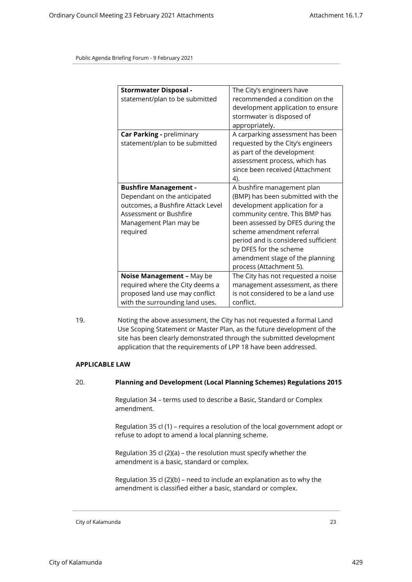| <b>Stormwater Disposal -</b><br>statement/plan to be submitted                                                                                                    | The City's engineers have<br>recommended a condition on the<br>development application to ensure<br>stormwater is disposed of<br>appropriately.                                                                                                                                                                                    |
|-------------------------------------------------------------------------------------------------------------------------------------------------------------------|------------------------------------------------------------------------------------------------------------------------------------------------------------------------------------------------------------------------------------------------------------------------------------------------------------------------------------|
| Car Parking - preliminary<br>statement/plan to be submitted                                                                                                       | A carparking assessment has been<br>requested by the City's engineers<br>as part of the development<br>assessment process, which has<br>since been received (Attachment<br>4).                                                                                                                                                     |
| <b>Bushfire Management -</b><br>Dependant on the anticipated<br>outcomes, a Bushfire Attack Level<br>Assessment or Bushfire<br>Management Plan may be<br>required | A bushfire management plan<br>(BMP) has been submitted with the<br>development application for a<br>community centre. This BMP has<br>been assessed by DFES during the<br>scheme amendment referral<br>period and is considered sufficient<br>by DFES for the scheme<br>amendment stage of the planning<br>process (Attachment 5). |
| Noise Management - May be<br>required where the City deems a<br>proposed land use may conflict<br>with the surrounding land uses.                                 | The City has not requested a noise<br>management assessment, as there<br>is not considered to be a land use<br>conflict.                                                                                                                                                                                                           |

19. Noting the above assessment, the City has not requested a formal Land Use Scoping Statement or Master Plan, as the future development of the site has been clearly demonstrated through the submitted development application that the requirements of LPP 18 have been addressed.

#### **APPLICABLE LAW**

#### 20. **Planning and Development (Local Planning Schemes) Regulations 2015**

Regulation 34 – terms used to describe a Basic, Standard or Complex amendment.

Regulation 35 cl (1) – requires a resolution of the local government adopt or refuse to adopt to amend a local planning scheme.

Regulation 35 cl (2)(a) – the resolution must specify whether the amendment is a basic, standard or complex.

Regulation 35 cl (2)(b) – need to include an explanation as to why the amendment is classified either a basic, standard or complex.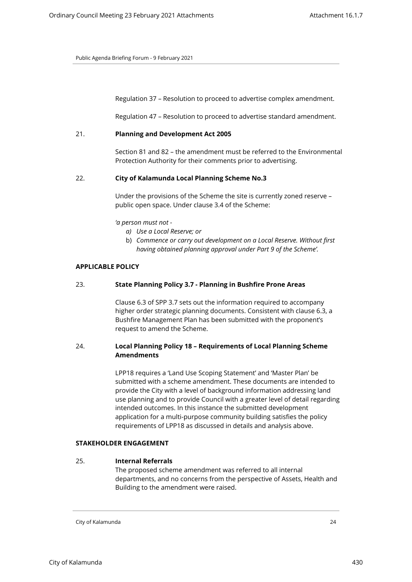Regulation 37 – Resolution to proceed to advertise complex amendment.

Regulation 47 – Resolution to proceed to advertise standard amendment.

## 21. **Planning and Development Act 2005**

Section 81 and 82 – the amendment must be referred to the Environmental Protection Authority for their comments prior to advertising.

## 22. **City of Kalamunda Local Planning Scheme No.3**

Under the provisions of the Scheme the site is currently zoned reserve – public open space. Under clause 3.4 of the Scheme:

- *'a person must not* 
	- *a) Use a Local Reserve; or*
	- b) *Commence or carry out development on a Local Reserve. Without first having obtained planning approval under Part 9 of the Scheme'.*

#### **APPLICABLE POLICY**

## 23. **State Planning Policy 3.7 - Planning in Bushfire Prone Areas**

Clause 6.3 of SPP 3.7 sets out the information required to accompany higher order strategic planning documents. Consistent with clause 6.3, a Bushfire Management Plan has been submitted with the proponent's request to amend the Scheme.

## 24. **Local Planning Policy 18 – Requirements of Local Planning Scheme Amendments**

LPP18 requires a 'Land Use Scoping Statement' and 'Master Plan' be submitted with a scheme amendment. These documents are intended to provide the City with a level of background information addressing land use planning and to provide Council with a greater level of detail regarding intended outcomes. In this instance the submitted development application for a multi-purpose community building satisfies the policy requirements of LPP18 as discussed in details and analysis above.

## **STAKEHOLDER ENGAGEMENT**

#### 25. **Internal Referrals**

The proposed scheme amendment was referred to all internal departments, and no concerns from the perspective of Assets, Health and Building to the amendment were raised.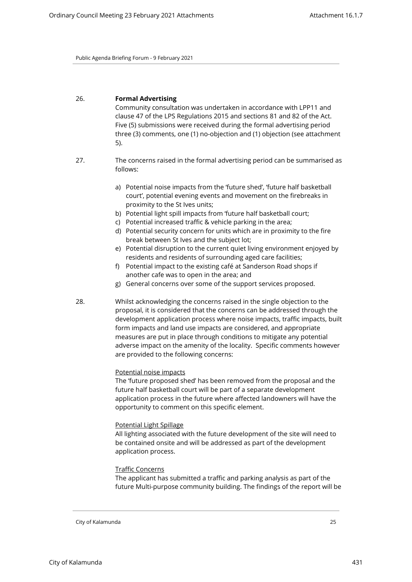## 26. **Formal Advertising**

Community consultation was undertaken in accordance with LPP11 and clause 47 of the LPS Regulations 2015 and sections 81 and 82 of the Act. Five (5) submissions were received during the formal advertising period three (3) comments, one (1) no-objection and (1) objection (see attachment 5).

- 27. The concerns raised in the formal advertising period can be summarised as follows:
	- a) Potential noise impacts from the 'future shed', 'future half basketball court', potential evening events and movement on the firebreaks in proximity to the St Ives units;
	- b) Potential light spill impacts from 'future half basketball court;
	- c) Potential increased traffic & vehicle parking in the area;
	- d) Potential security concern for units which are in proximity to the fire break between St Ives and the subject lot;
	- e) Potential disruption to the current quiet living environment enjoyed by residents and residents of surrounding aged care facilities;
	- f) Potential impact to the existing café at Sanderson Road shops if another cafe was to open in the area; and
	- g) General concerns over some of the support services proposed.
- 28. Whilst acknowledging the concerns raised in the single objection to the proposal, it is considered that the concerns can be addressed through the development application process where noise impacts, traffic impacts, built form impacts and land use impacts are considered, and appropriate measures are put in place through conditions to mitigate any potential adverse impact on the amenity of the locality. Specific comments however are provided to the following concerns:

#### Potential noise impacts

The 'future proposed shed' has been removed from the proposal and the future half basketball court will be part of a separate development application process in the future where affected landowners will have the opportunity to comment on this specific element.

#### Potential Light Spillage

All lighting associated with the future development of the site will need to be contained onsite and will be addressed as part of the development application process.

#### Traffic Concerns

The applicant has submitted a traffic and parking analysis as part of the future Multi-purpose community building. The findings of the report will be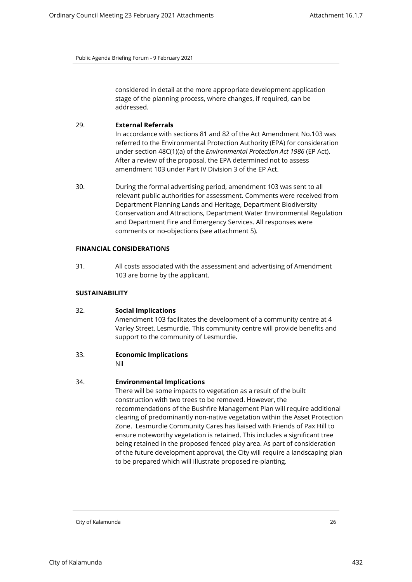considered in detail at the more appropriate development application stage of the planning process, where changes, if required, can be addressed.

## 29. **External Referrals**

In accordance with sections 81 and 82 of the Act Amendment No.103 was referred to the Environmental Protection Authority (EPA) for consideration under section 48C(1)(a) of the *Environmental Protection Act 1986* (EP Act). After a review of the proposal, the EPA determined not to assess amendment 103 under Part IV Division 3 of the EP Act.

30. During the formal advertising period, amendment 103 was sent to all relevant public authorities for assessment. Comments were received from Department Planning Lands and Heritage, Department Biodiversity Conservation and Attractions, Department Water Environmental Regulation and Department Fire and Emergency Services. All responses were comments or no-objections (see attachment 5).

#### **FINANCIAL CONSIDERATIONS**

31. All costs associated with the assessment and advertising of Amendment 103 are borne by the applicant.

## **SUSTAINABILITY**

## 32. **Social Implications**

Amendment 103 facilitates the development of a community centre at 4 Varley Street, Lesmurdie. This community centre will provide benefits and support to the community of Lesmurdie.

## 33. **Economic Implications**

Nil

## 34. **Environmental Implications**

There will be some impacts to vegetation as a result of the built construction with two trees to be removed. However, the recommendations of the Bushfire Management Plan will require additional clearing of predominantly non-native vegetation within the Asset Protection Zone. Lesmurdie Community Cares has liaised with Friends of Pax Hill to ensure noteworthy vegetation is retained. This includes a significant tree being retained in the proposed fenced play area. As part of consideration of the future development approval, the City will require a landscaping plan to be prepared which will illustrate proposed re-planting.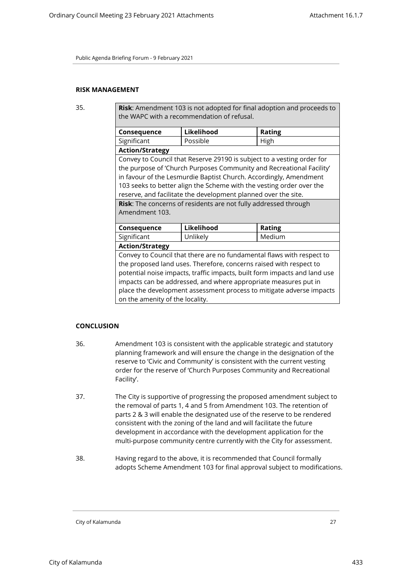## **RISK MANAGEMENT**

35. **Risk**: Amendment 103 is not adopted for final adoption and proceeds to the WAPC with a recommendation of refusal.

| <b>Consequence</b>                                                        | Likelihood                                                             | <b>Rating</b> |  |
|---------------------------------------------------------------------------|------------------------------------------------------------------------|---------------|--|
| Significant                                                               | Possible                                                               | High          |  |
| <b>Action/Strategy</b>                                                    |                                                                        |               |  |
|                                                                           | Convey to Council that Reserve 29190 is subject to a vesting order for |               |  |
|                                                                           | the purpose of 'Church Purposes Community and Recreational Facility'   |               |  |
|                                                                           | in favour of the Lesmurdie Baptist Church. Accordingly, Amendment      |               |  |
|                                                                           | 103 seeks to better align the Scheme with the vesting order over the   |               |  |
|                                                                           | reserve, and facilitate the development planned over the site.         |               |  |
|                                                                           | Risk: The concerns of residents are not fully addressed through        |               |  |
| Amendment 103.                                                            |                                                                        |               |  |
|                                                                           |                                                                        |               |  |
| <b>Consequence</b>                                                        | Likelihood                                                             | <b>Rating</b> |  |
| Significant                                                               | Unlikely                                                               | Medium        |  |
| <b>Action/Strategy</b>                                                    |                                                                        |               |  |
| Convey to Council that there are no fundamental flaws with respect to     |                                                                        |               |  |
| the proposed land uses. Therefore, concerns raised with respect to        |                                                                        |               |  |
| potential noise impacts, traffic impacts, built form impacts and land use |                                                                        |               |  |
| impacts can be addressed, and where appropriate measures put in           |                                                                        |               |  |
| place the development assessment process to mitigate adverse impacts      |                                                                        |               |  |
| on the amenity of the locality.                                           |                                                                        |               |  |

## **CONCLUSION**

- 36. Amendment 103 is consistent with the applicable strategic and statutory planning framework and will ensure the change in the designation of the reserve to 'Civic and Community' is consistent with the current vesting order for the reserve of 'Church Purposes Community and Recreational Facility'.
- 37. The City is supportive of progressing the proposed amendment subject to the removal of parts 1, 4 and 5 from Amendment 103. The retention of parts 2 & 3 will enable the designated use of the reserve to be rendered consistent with the zoning of the land and will facilitate the future development in accordance with the development application for the multi-purpose community centre currently with the City for assessment.
- 38. Having regard to the above, it is recommended that Council formally adopts Scheme Amendment 103 for final approval subject to modifications.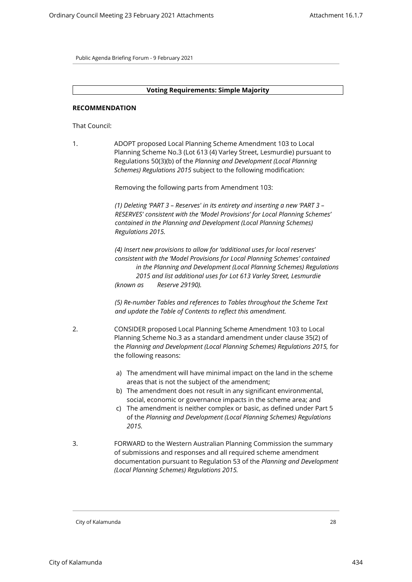#### **Voting Requirements: Simple Majority**

#### **RECOMMENDATION**

That Council:

1. ADOPT proposed Local Planning Scheme Amendment 103 to Local Planning Scheme No.3 (Lot 613 (4) Varley Street, Lesmurdie) pursuant to Regulations 50(3)(b) of the *Planning and Development (Local Planning Schemes) Regulations 2015* subject to the following modification:

Removing the following parts from Amendment 103:

*(1) Deleting 'PART 3 – Reserves' in its entirety and inserting a new 'PART 3 – RESERVES' consistent with the 'Model Provisions' for Local Planning Schemes' contained in the Planning and Development (Local Planning Schemes) Regulations 2015.*

*(4) Insert new provisions to allow for 'additional uses for local reserves' consistent with the 'Model Provisions for Local Planning Schemes' contained in the Planning and Development (Local Planning Schemes) Regulations 2015 and list additional uses for Lot 613 Varley Street, Lesmurdie (known as Reserve 29190).*

*(5) Re-number Tables and references to Tables throughout the Scheme Text and update the Table of Contents to reflect this amendment.*

- 2. CONSIDER proposed Local Planning Scheme Amendment 103 to Local Planning Scheme No.3 as a standard amendment under clause 35(2) of the *Planning and Development (Local Planning Schemes) Regulations 2015,* for the following reasons:
	- a) The amendment will have minimal impact on the land in the scheme areas that is not the subject of the amendment;
	- b) The amendment does not result in any significant environmental, social, economic or governance impacts in the scheme area; and
	- c) The amendment is neither complex or basic, as defined under Part 5 of the *Planning and Development (Local Planning Schemes) Regulations 2015.*
- 3. FORWARD to the Western Australian Planning Commission the summary of submissions and responses and all required scheme amendment documentation pursuant to Regulation 53 of the *Planning and Development (Local Planning Schemes) Regulations 2015.*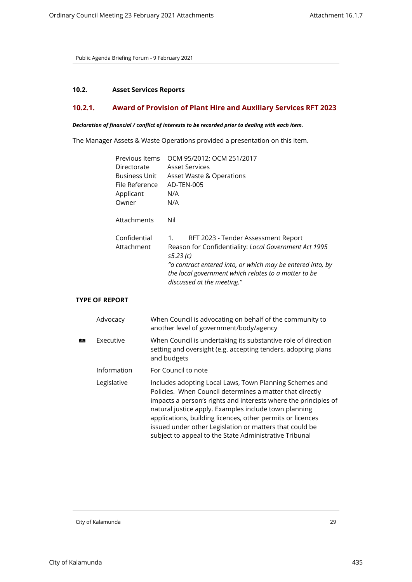## <span id="page-28-1"></span><span id="page-28-0"></span>**10.2. Asset Services Reports**

# **10.2.1. Award of Provision of Plant Hire and Auxiliary Services RFT 2023**

## *Declaration of financial / conflict of interests to be recorded prior to dealing with each item.*

The Manager Assets & Waste Operations provided a presentation on this item.

| Previous Items       | OCM 95/2012; OCM 251/2017                                  |
|----------------------|------------------------------------------------------------|
| Directorate          | <b>Asset Services</b>                                      |
| <b>Business Unit</b> | Asset Waste & Operations                                   |
| File Reference       | AD-TEN-005                                                 |
| Applicant            | N/A                                                        |
| Owner                | N/A                                                        |
|                      |                                                            |
| Attachments          | Nil                                                        |
|                      |                                                            |
| Confidential         | RFT 2023 - Tender Assessment Report<br>1.                  |
| Attachment           | Reason for Confidentiality: Local Government Act 1995      |
|                      | s5.23 (c)                                                  |
|                      | "a contract entered into, or which may be entered into, by |
|                      | the local government which relates to a matter to be       |
|                      | discussed at the meeting."                                 |

# **TYPE OF REPORT**

| Advocacy    | When Council is advocating on behalf of the community to<br>another level of government/body/agency                                                                                                                                                                                                                                                                                                                                |
|-------------|------------------------------------------------------------------------------------------------------------------------------------------------------------------------------------------------------------------------------------------------------------------------------------------------------------------------------------------------------------------------------------------------------------------------------------|
| Executive   | When Council is undertaking its substantive role of direction<br>setting and oversight (e.g. accepting tenders, adopting plans<br>and budgets                                                                                                                                                                                                                                                                                      |
| Information | For Council to note                                                                                                                                                                                                                                                                                                                                                                                                                |
| Legislative | Includes adopting Local Laws, Town Planning Schemes and<br>Policies. When Council determines a matter that directly<br>impacts a person's rights and interests where the principles of<br>natural justice apply. Examples include town planning<br>applications, building licences, other permits or licences<br>issued under other Legislation or matters that could be<br>subject to appeal to the State Administrative Tribunal |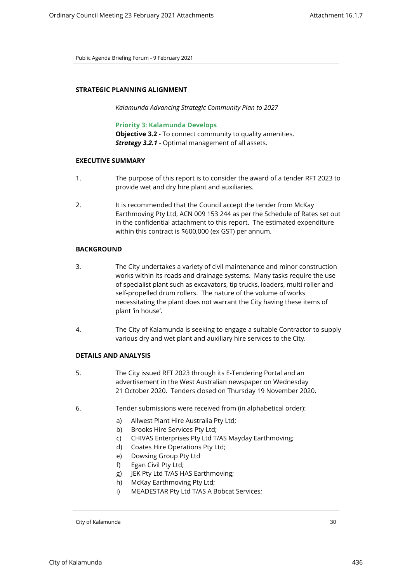## **STRATEGIC PLANNING ALIGNMENT**

*Kalamunda Advancing Strategic Community Plan to 2027*

## **Priority 3: Kalamunda Develops**

**Objective 3.2** - To connect community to quality amenities. *Strategy 3.2.1* - Optimal management of all assets.

## **EXECUTIVE SUMMARY**

- 1. The purpose of this report is to consider the award of a tender RFT 2023 to provide wet and dry hire plant and auxiliaries.
- 2. It is recommended that the Council accept the tender from McKay Earthmoving Pty Ltd, ACN 009 153 244 as per the Schedule of Rates set out in the confidential attachment to this report. The estimated expenditure within this contract is \$600,000 (ex GST) per annum.

## **BACKGROUND**

- 3. The City undertakes a variety of civil maintenance and minor construction works within its roads and drainage systems. Many tasks require the use of specialist plant such as excavators, tip trucks, loaders, multi roller and self-propelled drum rollers. The nature of the volume of works necessitating the plant does not warrant the City having these items of plant 'in house'.
- 4. The City of Kalamunda is seeking to engage a suitable Contractor to supply various dry and wet plant and auxiliary hire services to the City.

#### **DETAILS AND ANALYSIS**

- 5. The City issued RFT 2023 through its E-Tendering Portal and an advertisement in the West Australian newspaper on Wednesday 21 October 2020. Tenders closed on Thursday 19 November 2020.
- 6. Tender submissions were received from (in alphabetical order):
	- a) Allwest Plant Hire Australia Pty Ltd;
	- b) Brooks Hire Services Pty Ltd;
	- c) CHIVAS Enterprises Pty Ltd T/AS Mayday Earthmoving;
	- d) Coates Hire Operations Pty Ltd;
	- e) Dowsing Group Pty Ltd
	- f) Egan Civil Pty Ltd;
	- g) JEK Pty Ltd T/AS HAS Earthmoving;
	- h) McKay Earthmoving Pty Ltd;
	- i) MEADESTAR Pty Ltd T/AS A Bobcat Services;

City of Kalamunda 30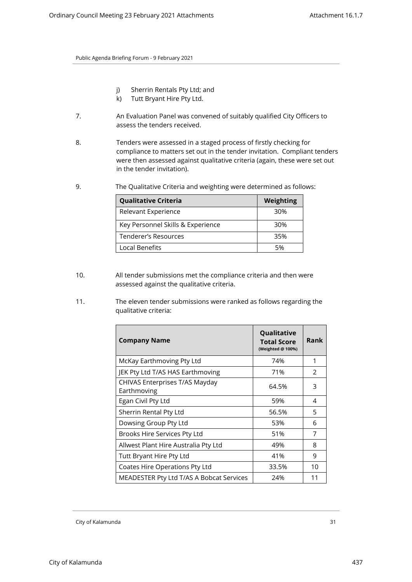- j) Sherrin Rentals Pty Ltd; and
- k) Tutt Bryant Hire Pty Ltd.
- 7. An Evaluation Panel was convened of suitably qualified City Officers to assess the tenders received.
- 8. Tenders were assessed in a staged process of firstly checking for compliance to matters set out in the tender invitation. Compliant tenders were then assessed against qualitative criteria (again, these were set out in the tender invitation).
- 9. The Qualitative Criteria and weighting were determined as follows:

| <b>Qualitative Criteria</b>       | Weighting |
|-----------------------------------|-----------|
| Relevant Experience               | 30%       |
| Key Personnel Skills & Experience | 30%       |
| Tenderer's Resources              | 35%       |
| Local Benefits                    | 5%        |

- 10. All tender submissions met the compliance criteria and then were assessed against the qualitative criteria.
- 11. The eleven tender submissions were ranked as follows regarding the qualitative criteria:

| <b>Company Name</b>                           | Qualitative<br><b>Total Score</b><br>(Weighted @ 100%) | Rank          |
|-----------------------------------------------|--------------------------------------------------------|---------------|
| McKay Earthmoving Pty Ltd                     | 74%                                                    | 1             |
| JEK Pty Ltd T/AS HAS Earthmoving              | 71%                                                    | $\mathcal{P}$ |
| CHIVAS Enterprises T/AS Mayday<br>Earthmoving | 64.5%                                                  | 3             |
| Egan Civil Pty Ltd                            | 59%                                                    | 4             |
| Sherrin Rental Pty Ltd                        | 56.5%                                                  | 5             |
| Dowsing Group Pty Ltd                         | 53%                                                    | 6             |
| Brooks Hire Services Pty Ltd                  | 51%                                                    | 7             |
| Allwest Plant Hire Australia Pty Ltd          | 49%                                                    | 8             |
| Tutt Bryant Hire Pty Ltd                      | 41%                                                    | q             |
| Coates Hire Operations Pty Ltd                | 33.5%                                                  | 10            |
| MEADESTER Pty Ltd T/AS A Bobcat Services      | 24%                                                    | 11            |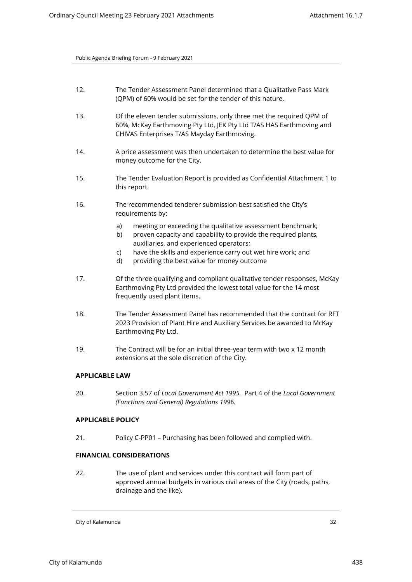| 12. | The Tender Assessment Panel determined that a Qualitative Pass Mark |
|-----|---------------------------------------------------------------------|
|     | (QPM) of 60% would be set for the tender of this nature.            |

- 13. Of the eleven tender submissions, only three met the required QPM of 60%, McKay Earthmoving Pty Ltd, JEK Pty Ltd T/AS HAS Earthmoving and CHIVAS Enterprises T/AS Mayday Earthmoving.
- 14. A price assessment was then undertaken to determine the best value for money outcome for the City.
- 15. The Tender Evaluation Report is provided as Confidential Attachment 1 to this report.
- 16. The recommended tenderer submission best satisfied the City's requirements by:
	- a) meeting or exceeding the qualitative assessment benchmark;
	- b) proven capacity and capability to provide the required plants, auxiliaries, and experienced operators;
	- c) have the skills and experience carry out wet hire work; and
	- d) providing the best value for money outcome
- 17. Of the three qualifying and compliant qualitative tender responses, McKay Earthmoving Pty Ltd provided the lowest total value for the 14 most frequently used plant items.
- 18. The Tender Assessment Panel has recommended that the contract for RFT 2023 Provision of Plant Hire and Auxiliary Services be awarded to McKay Earthmoving Pty Ltd.
- 19. The Contract will be for an initial three-year term with two x 12 month extensions at the sole discretion of the City.

## **APPLICABLE LAW**

20. Section 3.57 of *Local Government Act 1995.* Part 4 of the *Local Government (Functions and General) Regulations 1996.*

## **APPLICABLE POLICY**

21. Policy C-PP01 – Purchasing has been followed and complied with.

# **FINANCIAL CONSIDERATIONS**

22. The use of plant and services under this contract will form part of approved annual budgets in various civil areas of the City (roads, paths, drainage and the like).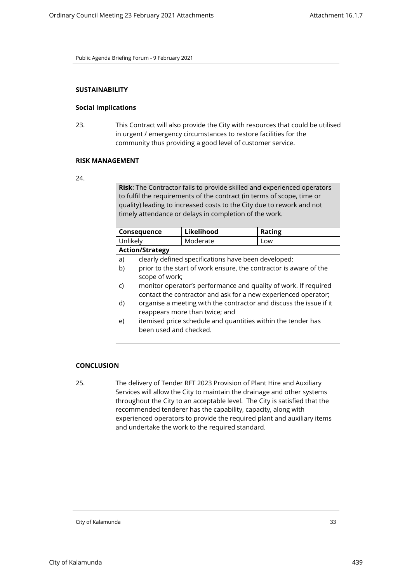## **SUSTAINABILITY**

#### **Social Implications**

23. This Contract will also provide the City with resources that could be utilised in urgent / emergency circumstances to restore facilities for the community thus providing a good level of customer service.

#### **RISK MANAGEMENT**

**Risk**: The Contractor fails to provide skilled and experienced operators to fulfil the requirements of the contract (in terms of scope, time or quality) leading to increased costs to the City due to rework and not timely attendance or delays in completion of the work.

|                        | Consequence                                                        | Likelihood                                                     | Rating |
|------------------------|--------------------------------------------------------------------|----------------------------------------------------------------|--------|
| Unlikely               |                                                                    | Moderate                                                       | Low    |
|                        | <b>Action/Strategy</b>                                             |                                                                |        |
| a)                     |                                                                    | clearly defined specifications have been developed;            |        |
| b)                     | prior to the start of work ensure, the contractor is aware of the  |                                                                |        |
|                        | scope of work;                                                     |                                                                |        |
| C)                     | monitor operator's performance and quality of work. If required    |                                                                |        |
|                        |                                                                    | contact the contractor and ask for a new experienced operator; |        |
| d)                     | organise a meeting with the contractor and discuss the issue if it |                                                                |        |
|                        | reappears more than twice; and                                     |                                                                |        |
| e)                     | itemised price schedule and quantities within the tender has       |                                                                |        |
| been used and checked. |                                                                    |                                                                |        |
|                        |                                                                    |                                                                |        |

#### **CONCLUSION**

25. The delivery of Tender RFT 2023 Provision of Plant Hire and Auxiliary Services will allow the City to maintain the drainage and other systems throughout the City to an acceptable level. The City is satisfied that the recommended tenderer has the capability, capacity, along with experienced operators to provide the required plant and auxiliary items and undertake the work to the required standard.

<sup>24.</sup>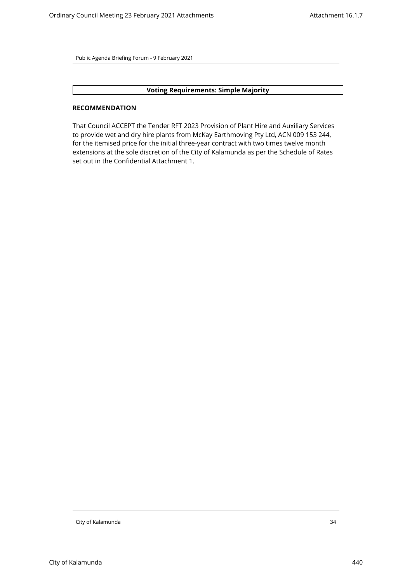## **Voting Requirements: Simple Majority**

## **RECOMMENDATION**

That Council ACCEPT the Tender RFT 2023 Provision of Plant Hire and Auxiliary Services to provide wet and dry hire plants from McKay Earthmoving Pty Ltd, ACN 009 153 244, for the itemised price for the initial three-year contract with two times twelve month extensions at the sole discretion of the City of Kalamunda as per the Schedule of Rates set out in the Confidential Attachment 1.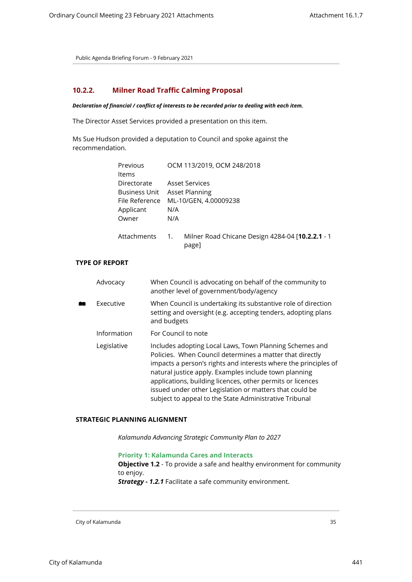# <span id="page-34-0"></span>**10.2.2. Milner Road Traffic Calming Proposal**

#### *Declaration of financial / conflict of interests to be recorded prior to dealing with each item.*

The Director Asset Services provided a presentation on this item.

Ms Sue Hudson provided a deputation to Council and spoke against the recommendation.

| Previous<br>Items | OCM 113/2019, OCM 248/2018 |                                                                   |
|-------------------|----------------------------|-------------------------------------------------------------------|
| Directorate       |                            | Asset Services                                                    |
| Business Unit     |                            | Asset Planning                                                    |
| File Reference    |                            | ML-10/GEN, 4.00009238                                             |
| Applicant         | N/A                        |                                                                   |
| Owner             | N/A                        |                                                                   |
| Attachments       | 1.                         | Milner Road Chicane Design 4284-04 [ <b>10.2.2.1</b> - 1<br>page] |

# **TYPE OF REPORT**

| Advocacy    | When Council is advocating on behalf of the community to<br>another level of government/body/agency                                                                                                                                                                                                                                                                                                                                |
|-------------|------------------------------------------------------------------------------------------------------------------------------------------------------------------------------------------------------------------------------------------------------------------------------------------------------------------------------------------------------------------------------------------------------------------------------------|
| Executive   | When Council is undertaking its substantive role of direction<br>setting and oversight (e.g. accepting tenders, adopting plans<br>and budgets                                                                                                                                                                                                                                                                                      |
| Information | For Council to note                                                                                                                                                                                                                                                                                                                                                                                                                |
| Legislative | Includes adopting Local Laws, Town Planning Schemes and<br>Policies. When Council determines a matter that directly<br>impacts a person's rights and interests where the principles of<br>natural justice apply. Examples include town planning<br>applications, building licences, other permits or licences<br>issued under other Legislation or matters that could be<br>subject to appeal to the State Administrative Tribunal |

## **STRATEGIC PLANNING ALIGNMENT**

*Kalamunda Advancing Strategic Community Plan to 2027*

**Priority 1: Kalamunda Cares and Interacts**

**Objective 1.2** - To provide a safe and healthy environment for community to enjoy.

*Strategy - 1.2.1* Facilitate a safe community environment.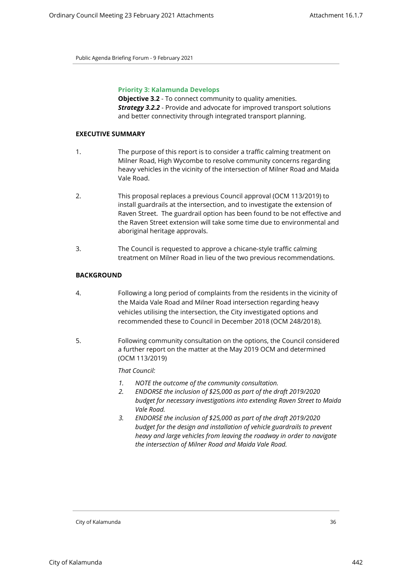## **Priority 3: Kalamunda Develops**

**Objective 3.2** - To connect community to quality amenities. *Strategy 3.2.2* - Provide and advocate for improved transport solutions and better connectivity through integrated transport planning.

## **EXECUTIVE SUMMARY**

- 1. The purpose of this report is to consider a traffic calming treatment on Milner Road, High Wycombe to resolve community concerns regarding heavy vehicles in the vicinity of the intersection of Milner Road and Maida Vale Road.
- 2. This proposal replaces a previous Council approval (OCM 113/2019) to install guardrails at the intersection, and to investigate the extension of Raven Street. The guardrail option has been found to be not effective and the Raven Street extension will take some time due to environmental and aboriginal heritage approvals.
- 3. The Council is requested to approve a chicane-style traffic calming treatment on Milner Road in lieu of the two previous recommendations.

## **BACKGROUND**

- 4. Following a long period of complaints from the residents in the vicinity of the Maida Vale Road and Milner Road intersection regarding heavy vehicles utilising the intersection, the City investigated options and recommended these to Council in December 2018 (OCM 248/2018).
- 5. Following community consultation on the options, the Council considered a further report on the matter at the May 2019 OCM and determined (OCM 113/2019)

*That Council:* 

- *1. NOTE the outcome of the community consultation.*
- *2. ENDORSE the inclusion of \$25,000 as part of the draft 2019/2020 budget for necessary investigations into extending Raven Street to Maida Vale Road.*
- *3. ENDORSE the inclusion of \$25,000 as part of the draft 2019/2020 budget for the design and installation of vehicle guardrails to prevent heavy and large vehicles from leaving the roadway in order to navigate the intersection of Milner Road and Maida Vale Road.*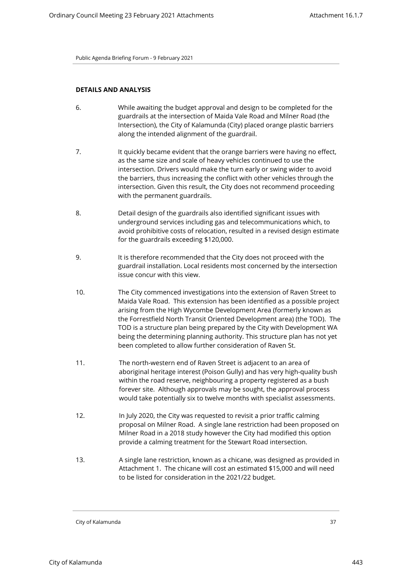## **DETAILS AND ANALYSIS**

- 6. While awaiting the budget approval and design to be completed for the guardrails at the intersection of Maida Vale Road and Milner Road (the Intersection), the City of Kalamunda (City) placed orange plastic barriers along the intended alignment of the guardrail.
- 7. It quickly became evident that the orange barriers were having no effect, as the same size and scale of heavy vehicles continued to use the intersection. Drivers would make the turn early or swing wider to avoid the barriers, thus increasing the conflict with other vehicles through the intersection. Given this result, the City does not recommend proceeding with the permanent guardrails.
- 8. Detail design of the guardrails also identified significant issues with underground services including gas and telecommunications which, to avoid prohibitive costs of relocation, resulted in a revised design estimate for the guardrails exceeding \$120,000.
- 9. It is therefore recommended that the City does not proceed with the guardrail installation. Local residents most concerned by the intersection issue concur with this view.
- 10. The City commenced investigations into the extension of Raven Street to Maida Vale Road. This extension has been identified as a possible project arising from the High Wycombe Development Area (formerly known as the Forrestfield North Transit Oriented Development area) (the TOD). The TOD is a structure plan being prepared by the City with Development WA being the determining planning authority. This structure plan has not yet been completed to allow further consideration of Raven St.
- 11. The north-western end of Raven Street is adjacent to an area of aboriginal heritage interest (Poison Gully) and has very high-quality bush within the road reserve, neighbouring a property registered as a bush forever site. Although approvals may be sought, the approval process would take potentially six to twelve months with specialist assessments.
- 12. In July 2020, the City was requested to revisit a prior traffic calming proposal on Milner Road. A single lane restriction had been proposed on Milner Road in a 2018 study however the City had modified this option provide a calming treatment for the Stewart Road intersection.
- 13. A single lane restriction, known as a chicane, was designed as provided in Attachment 1. The chicane will cost an estimated \$15,000 and will need to be listed for consideration in the 2021/22 budget.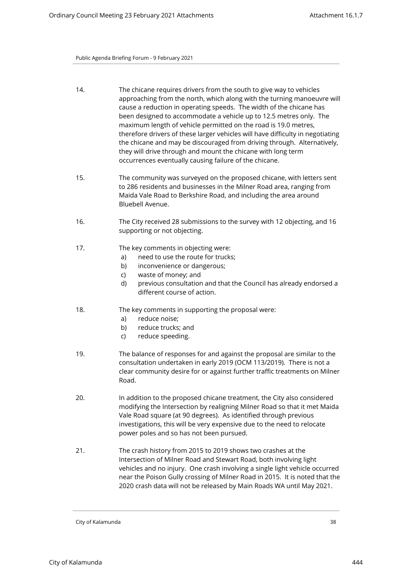- 14. The chicane requires drivers from the south to give way to vehicles approaching from the north, which along with the turning manoeuvre will cause a reduction in operating speeds. The width of the chicane has been designed to accommodate a vehicle up to 12.5 metres only. The maximum length of vehicle permitted on the road is 19.0 metres, therefore drivers of these larger vehicles will have difficulty in negotiating the chicane and may be discouraged from driving through. Alternatively, they will drive through and mount the chicane with long term occurrences eventually causing failure of the chicane.
- 15. The community was surveyed on the proposed chicane, with letters sent to 286 residents and businesses in the Milner Road area, ranging from Maida Vale Road to Berkshire Road, and including the area around Bluebell Avenue.
- 16. The City received 28 submissions to the survey with 12 objecting, and 16 supporting or not objecting.
- 17. The key comments in objecting were:
	- a) need to use the route for trucks;
	- b) inconvenience or dangerous;
	- c) waste of money; and
	- d) previous consultation and that the Council has already endorsed a different course of action.
- 18. The key comments in supporting the proposal were:
	- a) reduce noise;
	- b) reduce trucks; and
	- c) reduce speeding.
- 19. The balance of responses for and against the proposal are similar to the consultation undertaken in early 2019 (OCM 113/2019). There is not a clear community desire for or against further traffic treatments on Milner Road.
- 20. In addition to the proposed chicane treatment, the City also considered modifying the Intersection by realigning Milner Road so that it met Maida Vale Road square (at 90 degrees). As identified through previous investigations, this will be very expensive due to the need to relocate power poles and so has not been pursued.
- 21. The crash history from 2015 to 2019 shows two crashes at the Intersection of Milner Road and Stewart Road, both involving light vehicles and no injury. One crash involving a single light vehicle occurred near the Poison Gully crossing of Milner Road in 2015. It is noted that the 2020 crash data will not be released by Main Roads WA until May 2021.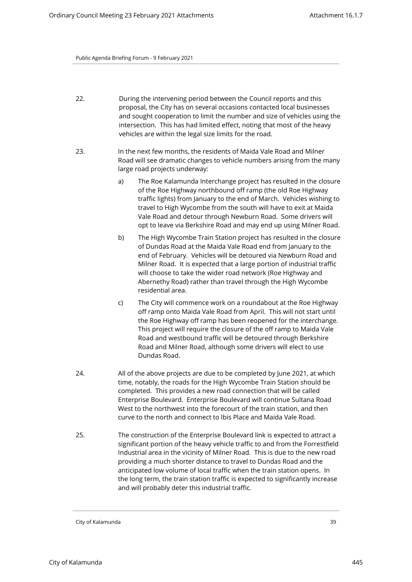- 22. During the intervening period between the Council reports and this proposal, the City has on several occasions contacted local businesses and sought cooperation to limit the number and size of vehicles using the intersection. This has had limited effect, noting that most of the heavy vehicles are within the legal size limits for the road.
- 23. In the next few months, the residents of Maida Vale Road and Milner Road will see dramatic changes to vehicle numbers arising from the many large road projects underway:
	- a) The Roe Kalamunda Interchange project has resulted in the closure of the Roe Highway northbound off ramp (the old Roe Highway traffic lights) from January to the end of March. Vehicles wishing to travel to High Wycombe from the south will have to exit at Maida Vale Road and detour through Newburn Road. Some drivers will opt to leave via Berkshire Road and may end up using Milner Road.
	- b) The High Wycombe Train Station project has resulted in the closure of Dundas Road at the Maida Vale Road end from January to the end of February. Vehicles will be detoured via Newburn Road and Milner Road. It is expected that a large portion of industrial traffic will choose to take the wider road network (Roe Highway and Abernethy Road) rather than travel through the High Wycombe residential area.
	- c) The City will commence work on a roundabout at the Roe Highway off ramp onto Maida Vale Road from April. This will not start until the Roe Highway off ramp has been reopened for the interchange. This project will require the closure of the off ramp to Maida Vale Road and westbound traffic will be detoured through Berkshire Road and Milner Road, although some drivers will elect to use Dundas Road.
- 24. All of the above projects are due to be completed by June 2021, at which time, notably, the roads for the High Wycombe Train Station should be completed. This provides a new road connection that will be called Enterprise Boulevard. Enterprise Boulevard will continue Sultana Road West to the northwest into the forecourt of the train station, and then curve to the north and connect to Ibis Place and Maida Vale Road.
- 25. The construction of the Enterprise Boulevard link is expected to attract a significant portion of the heavy vehicle traffic to and from the Forrestfield Industrial area in the vicinity of Milner Road. This is due to the new road providing a much shorter distance to travel to Dundas Road and the anticipated low volume of local traffic when the train station opens. In the long term, the train station traffic is expected to significantly increase and will probably deter this industrial traffic.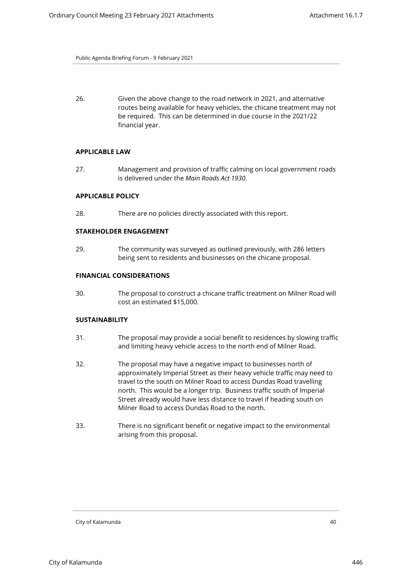26. Given the above change to the road network in 2021, and alternative routes being available for heavy vehicles, the chicane treatment may not be required. This can be determined in due course in the 2021/22 financial year.

#### **APPLICABLE LAW**

27. Management and provision of traffic calming on local government roads is delivered under the *Main Roads Act 1930*.

## **APPLICABLE POLICY**

28. There are no policies directly associated with this report.

## **STAKEHOLDER ENGAGEMENT**

29. The community was surveyed as outlined previously, with 286 letters being sent to residents and businesses on the chicane proposal.

## **FINANCIAL CONSIDERATIONS**

30. The proposal to construct a chicane traffic treatment on Milner Road will cost an estimated \$15,000.

## **SUSTAINABILITY**

- 31. The proposal may provide a social benefit to residences by slowing traffic and limiting heavy vehicle access to the north end of Milner Road.
- 32. The proposal may have a negative impact to businesses north of approximately Imperial Street as their heavy vehicle traffic may need to travel to the south on Milner Road to access Dundas Road travelling north. This would be a longer trip. Business traffic south of Imperial Street already would have less distance to travel if heading south on Milner Road to access Dundas Road to the north.
- 33. There is no significant benefit or negative impact to the environmental arising from this proposal.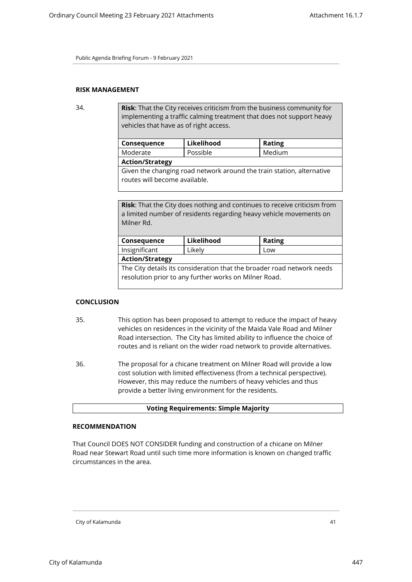## **RISK MANAGEMENT**

34. **Risk**: That the City receives criticism from the business community for implementing a traffic calming treatment that does not support heavy vehicles that have as of right access.

| Consequence                                                           | Likelihood | <b>Rating</b> |
|-----------------------------------------------------------------------|------------|---------------|
| Moderate                                                              | Possible   | Medium        |
| <b>Action/Strategy</b>                                                |            |               |
| Given the changing road network around the train station, alternative |            |               |
| routes will become available.                                         |            |               |

**Risk**: That the City does nothing and continues to receive criticism from a limited number of residents regarding heavy vehicle movements on Milner Rd.

| Consequence                                                                                                                     | Likelihood | <b>Rating</b> |
|---------------------------------------------------------------------------------------------------------------------------------|------------|---------------|
| Insignificant                                                                                                                   | Likely     | Low           |
| <b>Action/Strategy</b>                                                                                                          |            |               |
| The City details its consideration that the broader road network needs<br>resolution prior to any further works on Milner Road. |            |               |
|                                                                                                                                 |            |               |

#### **CONCLUSION**

- 35. This option has been proposed to attempt to reduce the impact of heavy vehicles on residences in the vicinity of the Maida Vale Road and Milner Road intersection. The City has limited ability to influence the choice of routes and is reliant on the wider road network to provide alternatives.
- 36. The proposal for a chicane treatment on Milner Road will provide a low cost solution with limited effectiveness (from a technical perspective). However, this may reduce the numbers of heavy vehicles and thus provide a better living environment for the residents.

#### **Voting Requirements: Simple Majority**

#### **RECOMMENDATION**

That Council DOES NOT CONSIDER funding and construction of a chicane on Milner Road near Stewart Road until such time more information is known on changed traffic circumstances in the area.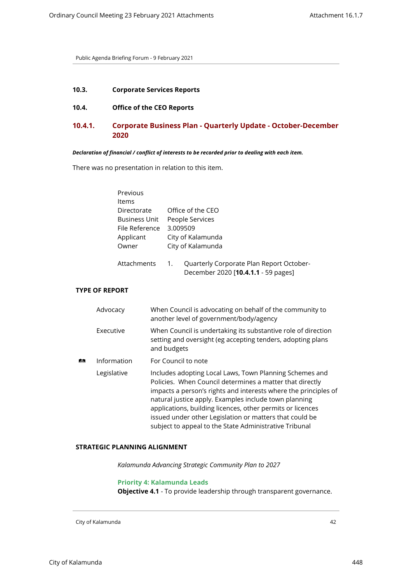## <span id="page-41-2"></span><span id="page-41-1"></span><span id="page-41-0"></span>**10.3. Corporate Services Reports**

## **10.4. Office of the CEO Reports**

# **10.4.1. Corporate Business Plan - Quarterly Update - October-December 2020**

#### *Declaration of financial / conflict of interests to be recorded prior to dealing with each item.*

There was no presentation in relation to this item.

| Previous             |                                                |
|----------------------|------------------------------------------------|
| Items                |                                                |
| Directorate          | Office of the CEO                              |
| <b>Business Unit</b> | People Services                                |
| File Reference       | 3.009509                                       |
| Applicant            | City of Kalamunda                              |
| Owner                | City of Kalamunda                              |
|                      |                                                |
| Attachments          | Quarterly Corporate Plan Report October-<br>1. |
|                      | December 2020 [10.4.1.1 - 59 pages]            |

## **TYPE OF REPORT**

|    | Advocacy    | When Council is advocating on behalf of the community to<br>another level of government/body/agency                                                                                                                                                                                                                                                                                                                                |
|----|-------------|------------------------------------------------------------------------------------------------------------------------------------------------------------------------------------------------------------------------------------------------------------------------------------------------------------------------------------------------------------------------------------------------------------------------------------|
|    | Executive   | When Council is undertaking its substantive role of direction<br>setting and oversight (eg accepting tenders, adopting plans<br>and budgets                                                                                                                                                                                                                                                                                        |
| Æ. | Information | For Council to note                                                                                                                                                                                                                                                                                                                                                                                                                |
|    | Legislative | Includes adopting Local Laws, Town Planning Schemes and<br>Policies. When Council determines a matter that directly<br>impacts a person's rights and interests where the principles of<br>natural justice apply. Examples include town planning<br>applications, building licences, other permits or licences<br>issued under other Legislation or matters that could be<br>subject to appeal to the State Administrative Tribunal |

## **STRATEGIC PLANNING ALIGNMENT**

*Kalamunda Advancing Strategic Community Plan to 2027*

#### **Priority 4: Kalamunda Leads**

**Objective 4.1** - To provide leadership through transparent governance.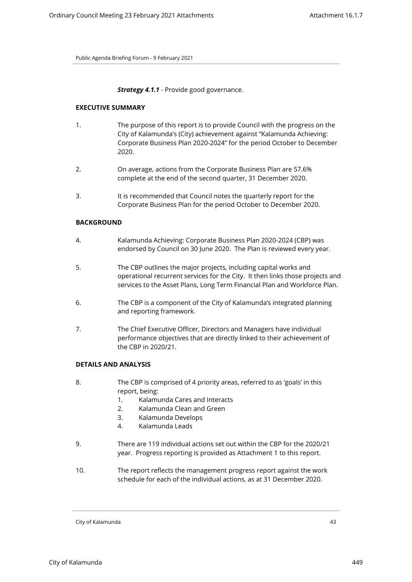## **Strategy 4.1.1** - Provide good governance.

#### **EXECUTIVE SUMMARY**

- 1. The purpose of this report is to provide Council with the progress on the City of Kalamunda's (City) achievement against "Kalamunda Achieving: Corporate Business Plan 2020-2024" for the period October to December 2020.
- 2. On average, actions from the Corporate Business Plan are 57.6% complete at the end of the second quarter, 31 December 2020.
- 3. It is recommended that Council notes the quarterly report for the Corporate Business Plan for the period October to December 2020.

## **BACKGROUND**

- 4. Kalamunda Achieving: Corporate Business Plan 2020-2024 (CBP) was endorsed by Council on 30 June 2020. The Plan is reviewed every year.
- 5. The CBP outlines the major projects, including capital works and operational recurrent services for the City. It then links those projects and services to the Asset Plans, Long Term Financial Plan and Workforce Plan.
- 6. The CBP is a component of the City of Kalamunda's integrated planning and reporting framework.
- 7. The Chief Executive Officer, Directors and Managers have individual performance objectives that are directly linked to their achievement of the CBP in 2020/21.

#### **DETAILS AND ANALYSIS**

- 8. The CBP is comprised of 4 priority areas, referred to as 'goals' in this report, being:
	- 1. Kalamunda Cares and Interacts
	- 2. Kalamunda Clean and Green
	- 3. Kalamunda Develops
	- 4. Kalamunda Leads
- 9. There are 119 individual actions set out within the CBP for the 2020/21 year. Progress reporting is provided as Attachment 1 to this report.
- 10. The report reflects the management progress report against the work schedule for each of the individual actions, as at 31 December 2020.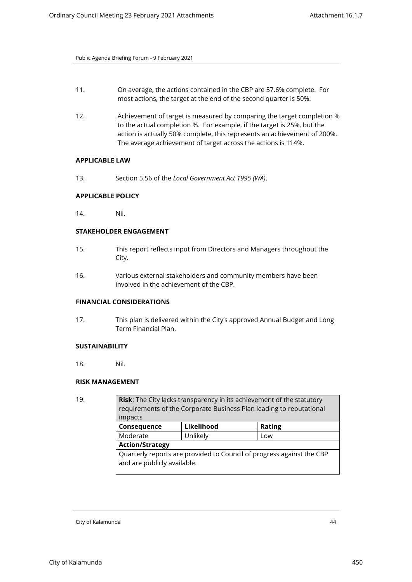- 11. On average, the actions contained in the CBP are 57.6% complete. For most actions, the target at the end of the second quarter is 50%.
- 12. Achievement of target is measured by comparing the target completion % to the actual completion %. For example, if the target is 25%, but the action is actually 50% complete, this represents an achievement of 200%. The average achievement of target across the actions is 114%.

## **APPLICABLE LAW**

13. Section 5.56 of the *Local Government Act 1995 (WA)*.

#### **APPLICABLE POLICY**

14. Nil.

## **STAKEHOLDER ENGAGEMENT**

- 15. This report reflects input from Directors and Managers throughout the City.
- 16. Various external stakeholders and community members have been involved in the achievement of the CBP.

## **FINANCIAL CONSIDERATIONS**

17. This plan is delivered within the City's approved Annual Budget and Long Term Financial Plan.

## **SUSTAINABILITY**

18. Nil.

## **RISK MANAGEMENT**

| 19. | Risk: The City lacks transparency in its achievement of the statutory<br>requirements of the Corporate Business Plan leading to reputational<br>impacts |            |               |
|-----|---------------------------------------------------------------------------------------------------------------------------------------------------------|------------|---------------|
|     | Consequence                                                                                                                                             | Likelihood | <b>Rating</b> |
|     | Moderate                                                                                                                                                | Unlikely   | Low           |
|     | <b>Action/Strategy</b>                                                                                                                                  |            |               |
|     | Quarterly reports are provided to Council of progress against the CBP<br>and are publicly available.                                                    |            |               |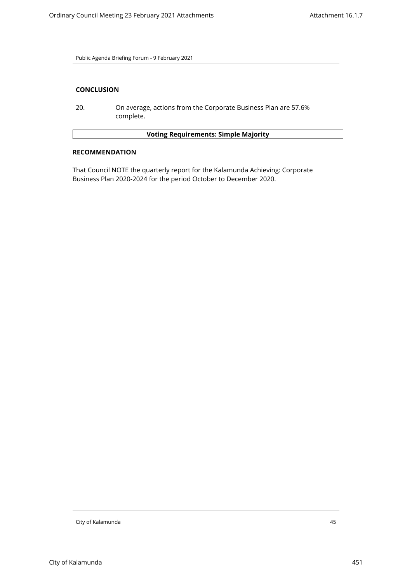## **CONCLUSION**

20. On average, actions from the Corporate Business Plan are 57.6% complete.

## **Voting Requirements: Simple Majority**

#### **RECOMMENDATION**

That Council NOTE the quarterly report for the Kalamunda Achieving: Corporate Business Plan 2020-2024 for the period October to December 2020.